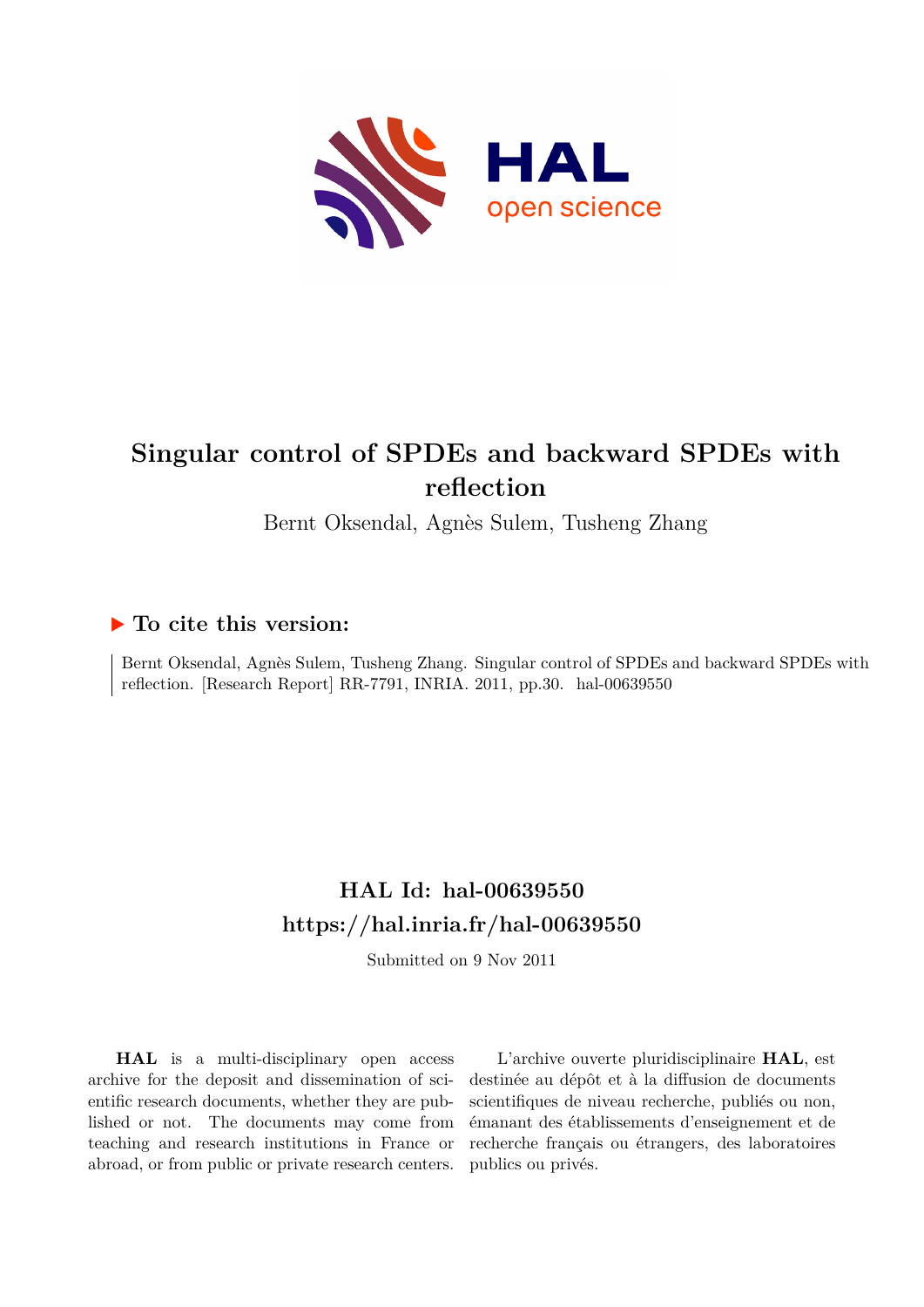

# **Singular control of SPDEs and backward SPDEs with reflection**

Bernt Oksendal, Agnès Sulem, Tusheng Zhang

#### **To cite this version:**

Bernt Oksendal, Agnès Sulem, Tusheng Zhang. Singular control of SPDEs and backward SPDEs with reflection. [Research Report] RR-7791, INRIA. 2011, pp.30. hal-00639550

## **HAL Id: hal-00639550 <https://hal.inria.fr/hal-00639550>**

Submitted on 9 Nov 2011

**HAL** is a multi-disciplinary open access archive for the deposit and dissemination of scientific research documents, whether they are published or not. The documents may come from teaching and research institutions in France or abroad, or from public or private research centers.

L'archive ouverte pluridisciplinaire **HAL**, est destinée au dépôt et à la diffusion de documents scientifiques de niveau recherche, publiés ou non, émanant des établissements d'enseignement et de recherche français ou étrangers, des laboratoires publics ou privés.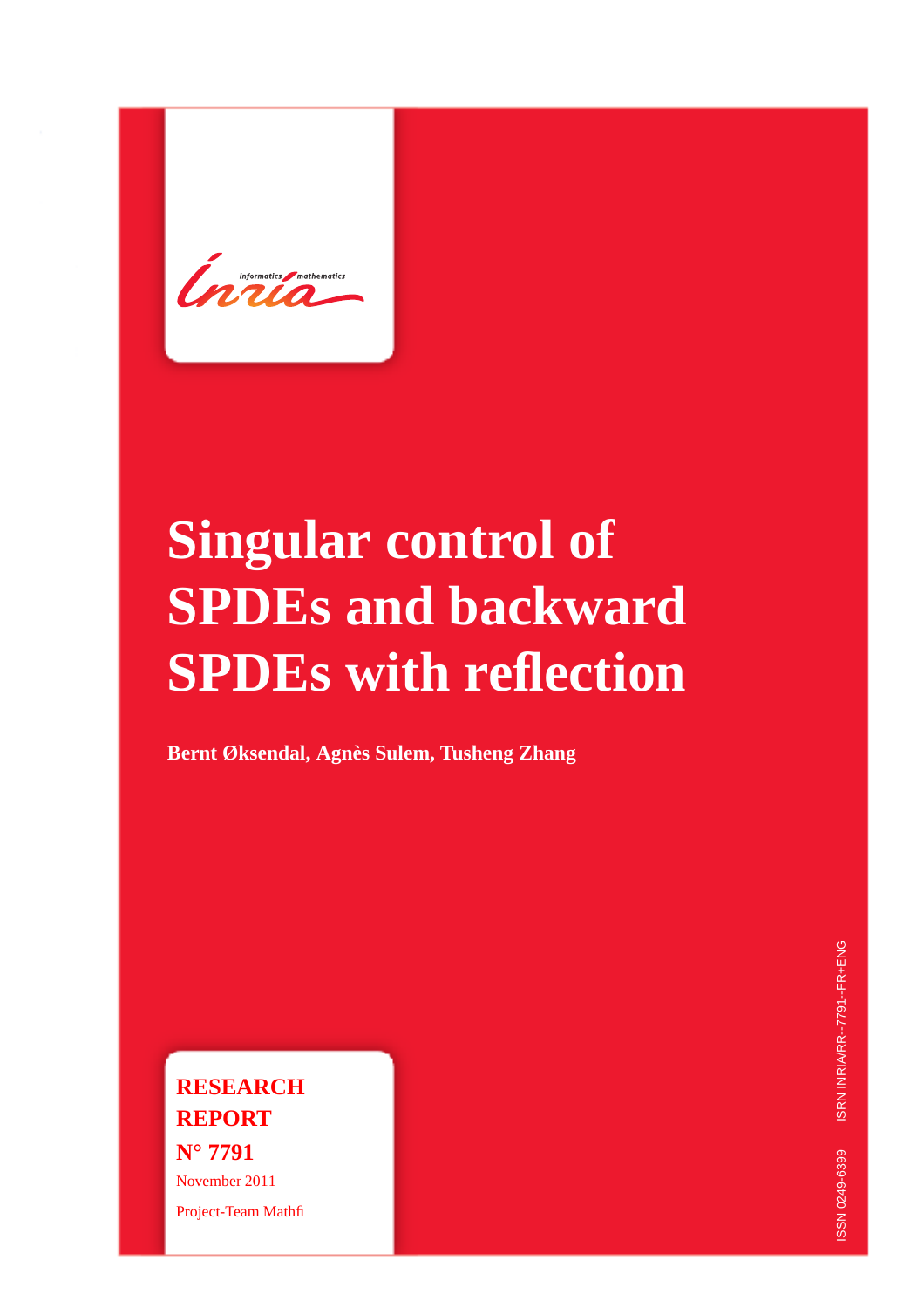**Informatics** *mathematics* 

# **Singular control of SPDEs and backward SPDEs with reflection**

**Bernt Øksendal, Agnès Sulem, Tusheng Zhang**

**RESEARCH REPORT N° 7791** November 2011 Project-Team Mathfi

ISRN INRIA/RR--7791--FR+ENG ISSN 0249-6399 ISRN INRIA/RR--7791--FR+ENG SSN 0249-6399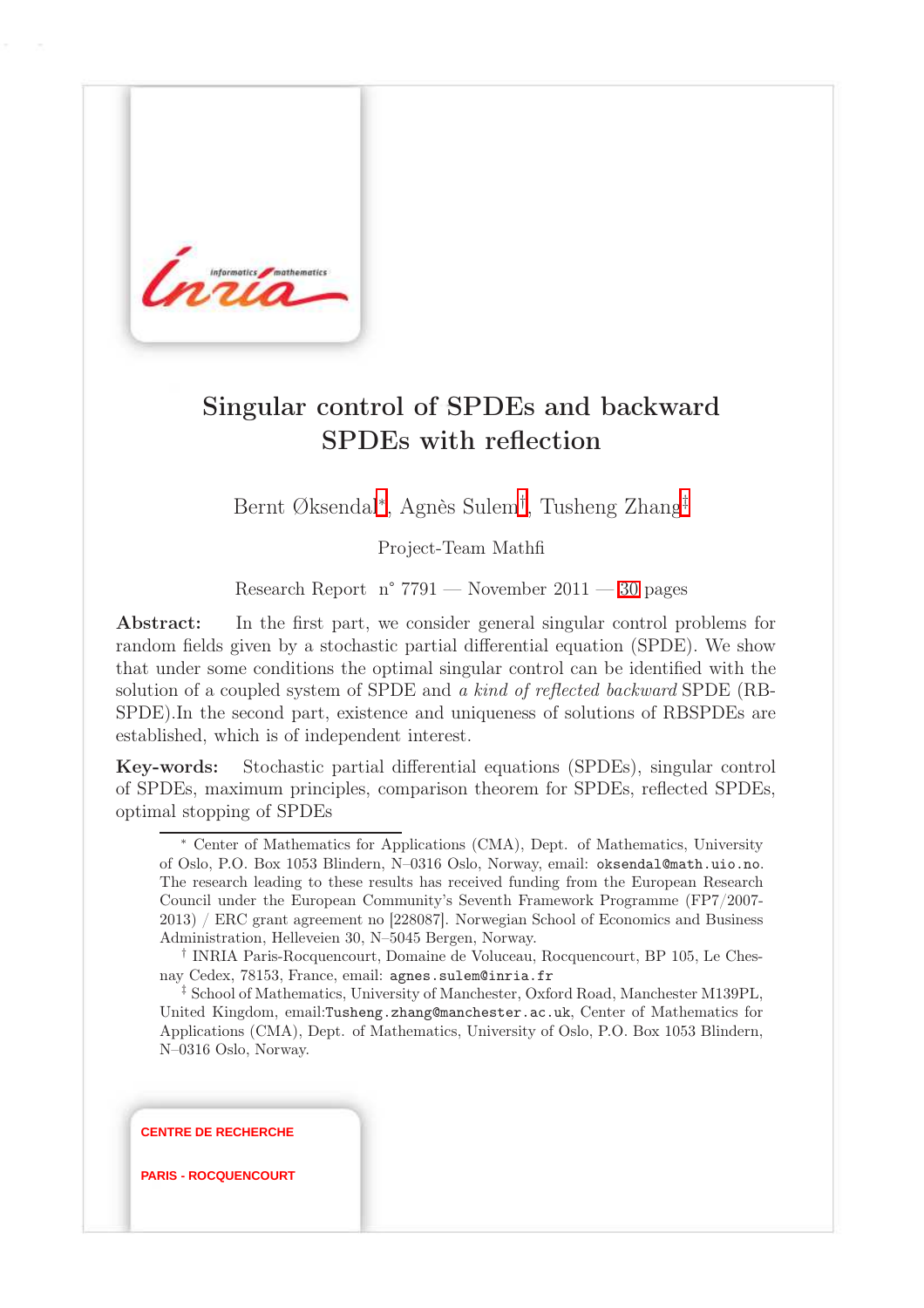

## Singular control of SPDEs and backward SPDEs with reflection

Bernt Øksendal<sup>∗</sup> , Agnès Sulem† , Tusheng Zhang‡

Project-Team Mathfi

Research Report n° 7791 — November 2011 — [30](#page-33-0) pages

Abstract: In the first part, we consider general singular control problems for random fields given by a stochastic partial differential equation (SPDE). We show that under some conditions the optimal singular control can be identified with the solution of a coupled system of SPDE and a kind of reflected backward SPDE (RB-SPDE).In the second part, existence and uniqueness of solutions of RBSPDEs are established, which is of independent interest.

Key-words: Stochastic partial differential equations (SPDEs), singular control of SPDEs, maximum principles, comparison theorem for SPDEs, reflected SPDEs, optimal stopping of SPDEs

**CENTRE DE RECHERCHE**

**PARIS - ROCQUENCOURT**

<sup>∗</sup> Center of Mathematics for Applications (CMA), Dept. of Mathematics, University of Oslo, P.O. Box 1053 Blindern, N–0316 Oslo, Norway, email: oksendal@math.uio.no. The research leading to these results has received funding from the European Research Council under the European Community's Seventh Framework Programme (FP7/2007- 2013) / ERC grant agreement no [228087]. Norwegian School of Economics and Business Administration, Helleveien 30, N–5045 Bergen, Norway.

<sup>†</sup> INRIA Paris-Rocquencourt, Domaine de Voluceau, Rocquencourt, BP 105, Le Chesnay Cedex, 78153, France, email: agnes.sulem@inria.fr

<sup>‡</sup> School of Mathematics, University of Manchester, Oxford Road, Manchester M139PL, United Kingdom, email:Tusheng.zhang@manchester.ac.uk, Center of Mathematics for Applications (CMA), Dept. of Mathematics, University of Oslo, P.O. Box 1053 Blindern, N–0316 Oslo, Norway.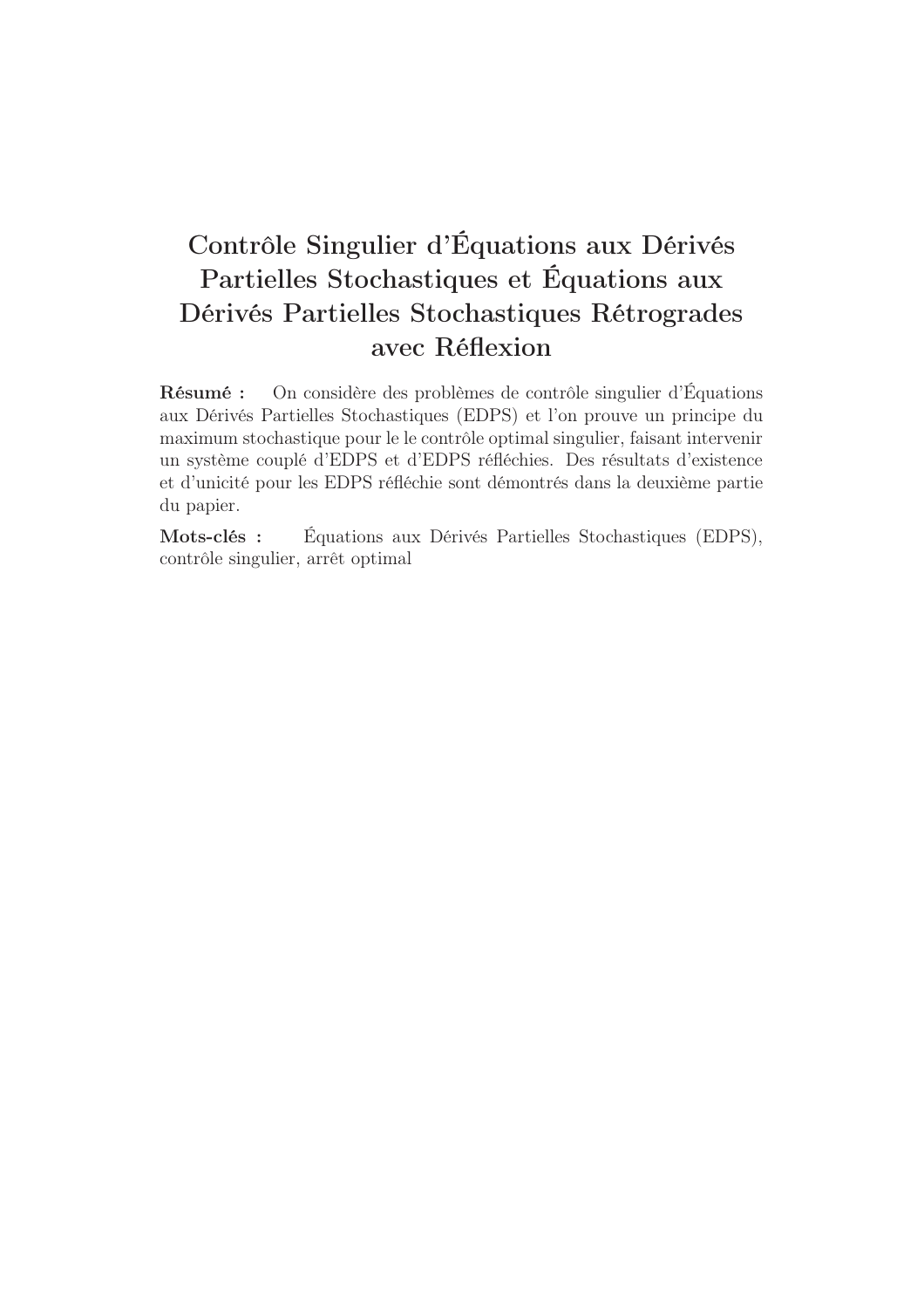# Contrôle Singulier d'Équations aux Dérivés Partielles Stochastiques et Équations aux Dérivés Partielles Stochastiques Rétrogrades avec Réflexion

Résumé : On considère des problèmes de contrôle singulier d'Équations aux Dérivés Partielles Stochastiques (EDPS) et l'on prouve un principe du maximum stochastique pour le le contrôle optimal singulier, faisant intervenir un système couplé d'EDPS et d'EDPS réfléchies. Des résultats d'existence et d'unicité pour les EDPS réfléchie sont démontrés dans la deuxième partie du papier.

Mots-clés : Équations aux Dérivés Partielles Stochastiques (EDPS), contrôle singulier, arrêt optimal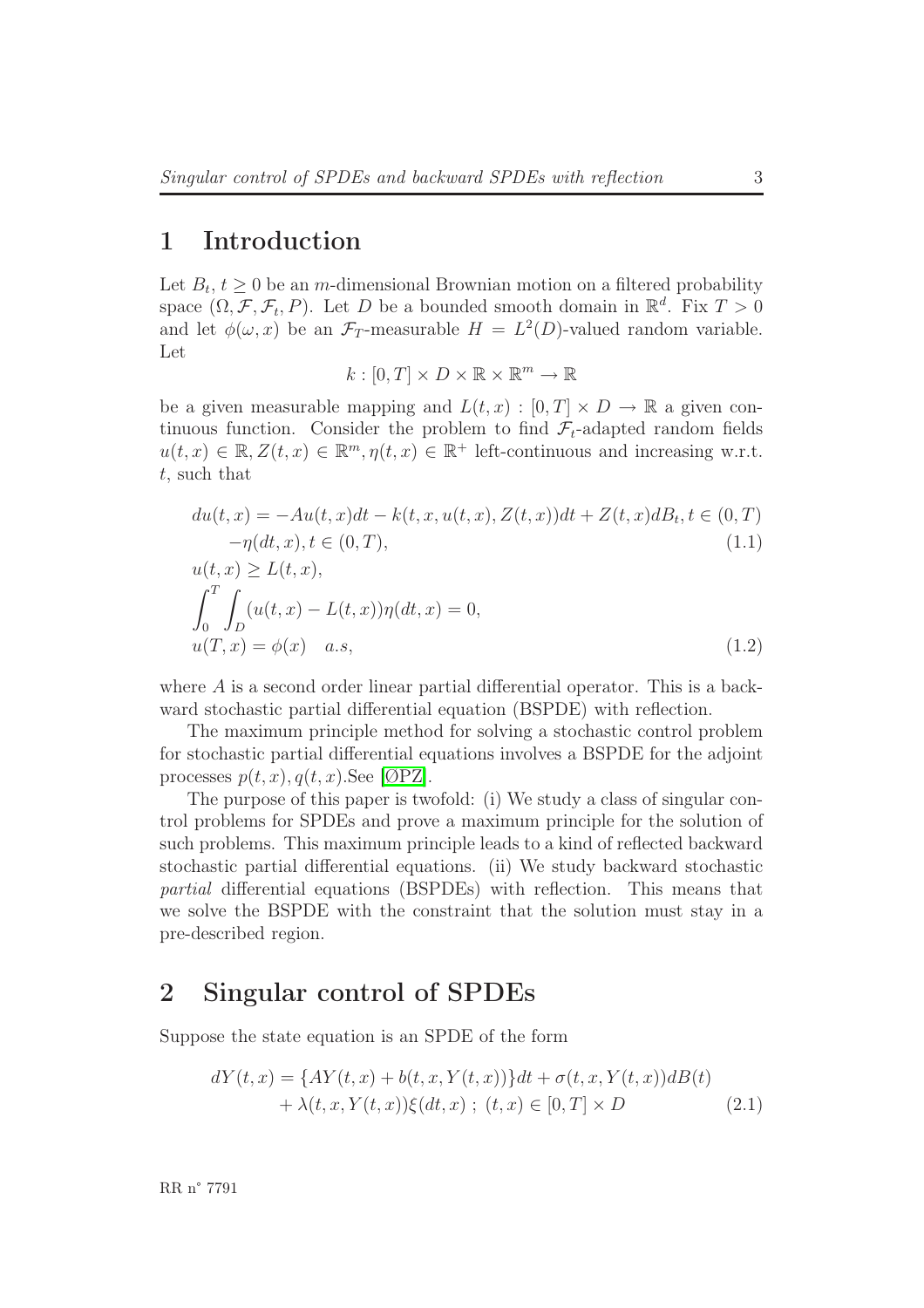## 1 Introduction

Let  $B_t$ ,  $t \geq 0$  be an *m*-dimensional Brownian motion on a filtered probability space  $(\Omega, \mathcal{F}, \mathcal{F}_t, P)$ . Let D be a bounded smooth domain in  $\mathbb{R}^d$ . Fix  $T > 0$ and let  $\phi(\omega, x)$  be an  $\mathcal{F}_T$ -measurable  $H = L^2(D)$ -valued random variable. Let

$$
k : [0, T] \times D \times \mathbb{R} \times \mathbb{R}^m \to \mathbb{R}
$$

be a given measurable mapping and  $L(t, x) : [0, T] \times D \to \mathbb{R}$  a given continuous function. Consider the problem to find  $\mathcal{F}_t$ -adapted random fields  $u(t, x) \in \mathbb{R}, Z(t, x) \in \mathbb{R}^m, \eta(t, x) \in \mathbb{R}^+$  left-continuous and increasing w.r.t. t, such that

$$
du(t, x) = -Au(t, x)dt - k(t, x, u(t, x), Z(t, x))dt + Z(t, x)dB_t, t \in (0, T)
$$
  
\n
$$
-\eta(dt, x), t \in (0, T),
$$
  
\n
$$
u(t, x) \ge L(t, x),
$$
  
\n
$$
\int^T \int (u(t, x) - L(t, x))\eta(dt, x) = 0,
$$
\n(1.1)

$$
\int_0^{\infty} \int_D \frac{u(t, x) - L(t, x) \eta(ut, x)}{u(T, x) - \phi(x)} dx, \tag{1.2}
$$

where A is a second order linear partial differential operator. This is a backward stochastic partial differential equation (BSPDE) with reflection.

The maximum principle method for solving a stochastic control problem for stochastic partial differential equations involves a BSPDE for the adjoint processes  $p(t, x), q(t, x)$ . See [\[ØPZ\]](#page-32-0).

The purpose of this paper is twofold: (i) We study a class of singular control problems for SPDEs and prove a maximum principle for the solution of such problems. This maximum principle leads to a kind of reflected backward stochastic partial differential equations. (ii) We study backward stochastic partial differential equations (BSPDEs) with reflection. This means that we solve the BSPDE with the constraint that the solution must stay in a pre-described region.

#### 2 Singular control of SPDEs

Suppose the state equation is an SPDE of the form

<span id="page-5-0"></span>
$$
dY(t,x) = \{AY(t,x) + b(t,x,Y(t,x))\}dt + \sigma(t,x,Y(t,x))dB(t) + \lambda(t,x,Y(t,x))\xi(dt,x) ; (t,x) \in [0,T] \times D
$$
 (2.1)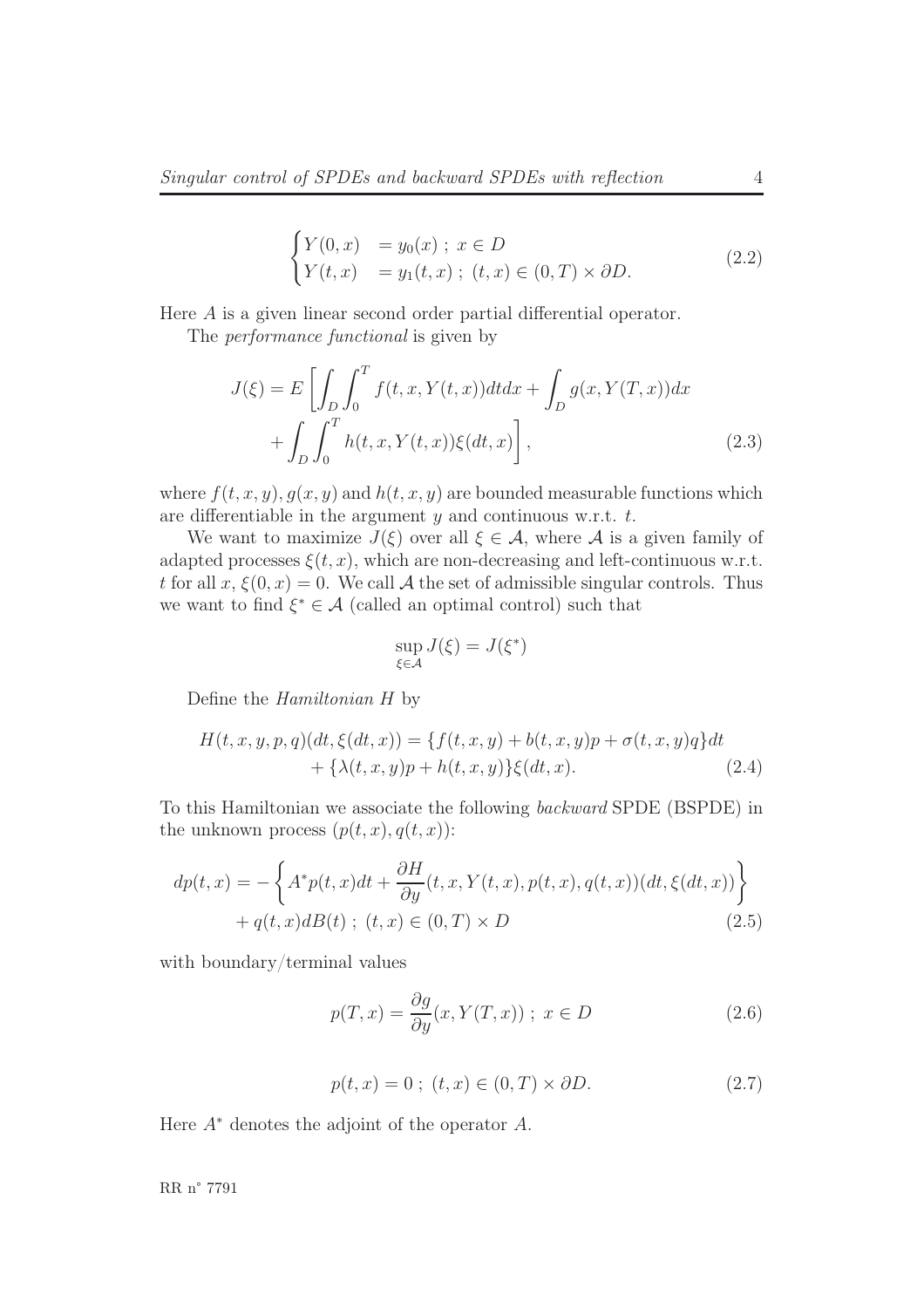<span id="page-6-2"></span>
$$
\begin{cases}\nY(0,x) &= y_0(x) \; ; \; x \in D \\
Y(t,x) &= y_1(t,x) \; ; \; (t,x) \in (0,T) \times \partial D.\n\end{cases}
$$
\n(2.2)

Here A is a given linear second order partial differential operator.

The performance functional is given by

$$
J(\xi) = E\left[\int_D \int_0^T f(t, x, Y(t, x)) dt dx + \int_D g(x, Y(T, x)) dx + \int_D \int_0^T h(t, x, Y(t, x)) \xi(dt, x)\right],
$$
\n(2.3)

where  $f(t, x, y), g(x, y)$  and  $h(t, x, y)$  are bounded measurable functions which are differentiable in the argument  $y$  and continuous w.r.t.  $t$ .

We want to maximize  $J(\xi)$  over all  $\xi \in \mathcal{A}$ , where  $\mathcal{A}$  is a given family of adapted processes  $\xi(t, x)$ , which are non-decreasing and left-continuous w.r.t. t for all  $x, \xi(0, x) = 0$ . We call A the set of admissible singular controls. Thus we want to find  $\xi^* \in \mathcal{A}$  (called an optimal control) such that

<span id="page-6-1"></span>
$$
\sup_{\xi \in \mathcal{A}} J(\xi) = J(\xi^*)
$$

Define the Hamiltonian H by

$$
H(t, x, y, p, q)(dt, \xi(dt, x)) = \{f(t, x, y) + b(t, x, y)p + \sigma(t, x, y)q\}dt + \{\lambda(t, x, y)p + h(t, x, y)\}\xi(dt, x).
$$
\n(2.4)

To this Hamiltonian we associate the following backward SPDE (BSPDE) in the unknown process  $(p(t, x), q(t, x))$ :

$$
dp(t,x) = -\left\{ A^*p(t,x)dt + \frac{\partial H}{\partial y}(t,x,Y(t,x),p(t,x),q(t,x))(dt,\xi(dt,x)) \right\}
$$
  
+  $q(t,x)dB(t)$ ;  $(t,x) \in (0,T) \times D$  (2.5)

with boundary/terminal values

$$
p(T, x) = \frac{\partial g}{\partial y}(x, Y(T, x)); \ x \in D \tag{2.6}
$$

$$
p(t, x) = 0 \; ; \; (t, x) \in (0, T) \times \partial D. \tag{2.7}
$$

<span id="page-6-0"></span>Here  $A^*$  denotes the adjoint of the operator  $A$ .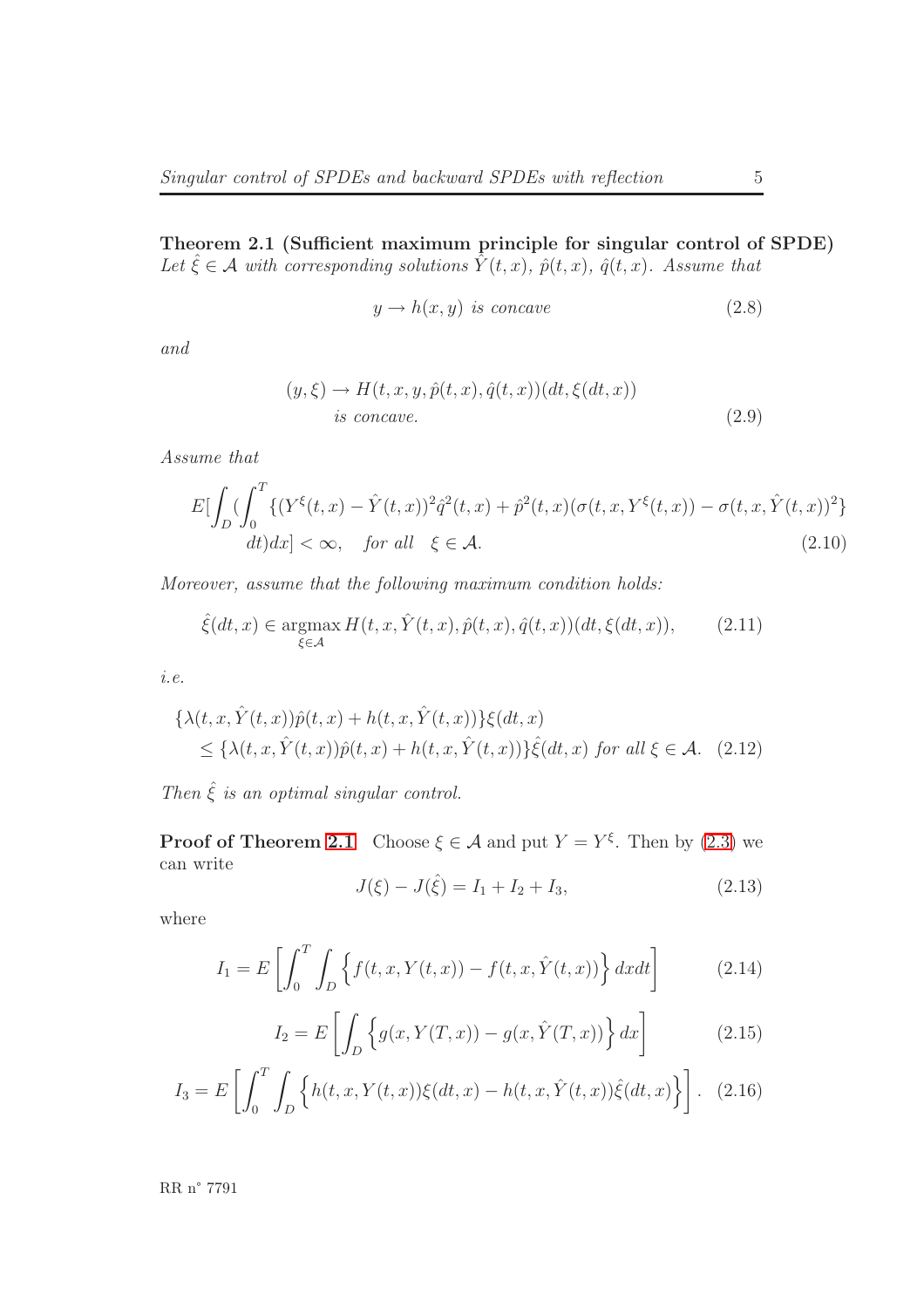Theorem 2.1 (Sufficient maximum principle for singular control of SPDE) Let  $\hat{\xi} \in \mathcal{A}$  with corresponding solutions  $\hat{Y}(t,x)$ ,  $\hat{p}(t,x)$ ,  $\hat{q}(t,x)$ . Assume that

$$
y \to h(x, y) \text{ is concave} \tag{2.8}
$$

and

$$
(y,\xi) \to H(t,x,y,\hat{p}(t,x),\hat{q}(t,x))(dt,\xi(dt,x))
$$
  
is concave. (2.9)

<span id="page-7-0"></span>Assume that

$$
E[\int_{D} \left( \int_{0}^{T} \{ (Y^{\xi}(t,x) - \hat{Y}(t,x))^{2} \hat{q}^{2}(t,x) + \hat{p}^{2}(t,x) (\sigma(t,x,Y^{\xi}(t,x)) - \sigma(t,x,\hat{Y}(t,x))^{2} \} \right. dt) dx] < \infty, \quad \text{for all} \quad \xi \in \mathcal{A}.
$$
 (2.10)

Moreover, assume that the following maximum condition holds:

$$
\hat{\xi}(dt,x) \in \underset{\xi \in \mathcal{A}}{\operatorname{argmax}} H(t,x,\hat{Y}(t,x),\hat{p}(t,x),\hat{q}(t,x))(dt,\xi(dt,x)),\tag{2.11}
$$

i.e.

$$
\{\lambda(t, x, \hat{Y}(t, x))\hat{p}(t, x) + h(t, x, \hat{Y}(t, x))\}\xi(dt, x)
$$
  
\n
$$
\leq \{\lambda(t, x, \hat{Y}(t, x))\hat{p}(t, x) + h(t, x, \hat{Y}(t, x))\}\hat{\xi}(dt, x) \text{ for all } \xi \in \mathcal{A}. \quad (2.12)
$$

Then  $\hat{\xi}$  is an optimal singular control.

**Proof of Theorem [2.1](#page-6-0)** Choose  $\xi \in \mathcal{A}$  and put  $Y = Y^{\xi}$ . Then by [\(2.3\)](#page-6-1) we can write

<span id="page-7-2"></span>
$$
J(\xi) - J(\hat{\xi}) = I_1 + I_2 + I_3,\tag{2.13}
$$

where

<span id="page-7-1"></span>
$$
I_1 = E\left[\int_0^T \int_D \left\{f(t, x, Y(t, x)) - f(t, x, \hat{Y}(t, x))\right\} dx dt\right]
$$
(2.14)

$$
I_2 = E\left[\int_D \left\{g(x, Y(T, x)) - g(x, \hat{Y}(T, x))\right\} dx\right]
$$
(2.15)

$$
I_3 = E\left[\int_0^T \int_D \left\{ h(t, x, Y(t, x))\xi(dt, x) - h(t, x, \hat{Y}(t, x))\hat{\xi}(dt, x) \right\} \right].
$$
 (2.16)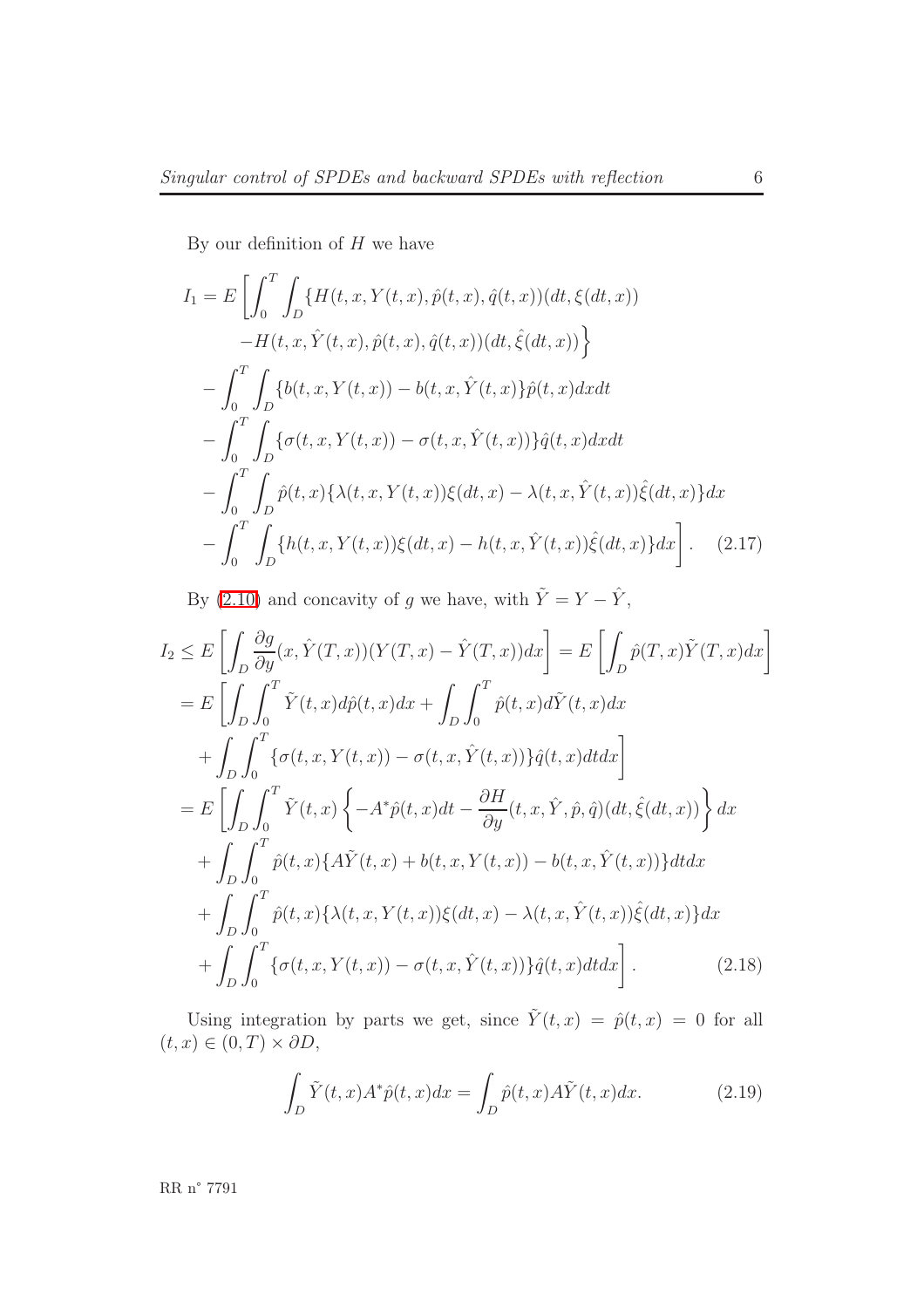By our definition of  $H$  we have

$$
I_{1} = E \left[ \int_{0}^{T} \int_{D} \{H(t, x, Y(t, x), \hat{p}(t, x), \hat{q}(t, x)) (dt, \xi(dt, x)) -H(t, x, \hat{Y}(t, x), \hat{p}(t, x), \hat{q}(t, x)) (dt, \hat{\xi}(dt, x)) \right\}- \int_{0}^{T} \int_{D} \{b(t, x, Y(t, x)) - b(t, x, \hat{Y}(t, x))\hat{p}(t, x) dx dt - \int_{0}^{T} \int_{D} \{\sigma(t, x, Y(t, x)) - \sigma(t, x, \hat{Y}(t, x))\} \hat{q}(t, x) dx dt - \int_{0}^{T} \int_{D} \hat{p}(t, x) \{\lambda(t, x, Y(t, x))\xi(dt, x) - \lambda(t, x, \hat{Y}(t, x))\hat{\xi}(dt, x)\} dx - \int_{0}^{T} \int_{D} \{h(t, x, Y(t, x))\xi(dt, x) - h(t, x, \hat{Y}(t, x))\hat{\xi}(dt, x)\} dx \tag{2.17}
$$

By [\(2.10\)](#page-7-0) and concavity of g we have, with  $\tilde{Y} = Y - \hat{Y}$ ,

$$
I_2 \leq E\left[\int_D \frac{\partial g}{\partial y}(x, \hat{Y}(T, x))(Y(T, x) - \hat{Y}(T, x))dx\right] = E\left[\int_D \hat{p}(T, x)\tilde{Y}(T, x)dx\right]
$$
  
\n
$$
= E\left[\int_D \int_0^T \tilde{Y}(t, x)d\hat{p}(t, x)dx + \int_D \int_0^T \hat{p}(t, x)d\tilde{Y}(t, x)dx\right]
$$
  
\n
$$
+ \int_D \int_0^T \{\sigma(t, x, Y(t, x)) - \sigma(t, x, \hat{Y}(t, x))\}\hat{q}(t, x)dt dx\right]
$$
  
\n
$$
= E\left[\int_D \int_0^T \tilde{Y}(t, x)\left\{-A^*\hat{p}(t, x)dt - \frac{\partial H}{\partial y}(t, x, \hat{Y}, \hat{p}, \hat{q})(dt, \hat{\xi}(dt, x))\right\}dx
$$
  
\n
$$
+ \int_D \int_0^T \hat{p}(t, x)\left\{\tilde{A}\tilde{Y}(t, x) + b(t, x, Y(t, x)) - b(t, x, \hat{Y}(t, x))\right\}dt dx
$$
  
\n
$$
+ \int_D \int_0^T \hat{p}(t, x)\left\{\lambda(t, x, Y(t, x))\xi(dt, x) - \lambda(t, x, \hat{Y}(t, x))\hat{\xi}(dt, x)\right\}dx
$$
  
\n
$$
+ \int_D \int_0^T \{\sigma(t, x, Y(t, x)) - \sigma(t, x, \hat{Y}(t, x))\}\hat{q}(t, x)dt dx\right].
$$
 (2.18)

<span id="page-8-0"></span>Using integration by parts we get, since  $\tilde{Y}(t,x) = \hat{p}(t,x) = 0$  for all  $(t, x) \in (0, T) \times \partial D,$ 

$$
\int_{D} \tilde{Y}(t,x)A^*\hat{p}(t,x)dx = \int_{D} \hat{p}(t,x)A\tilde{Y}(t,x)dx.
$$
\n(2.19)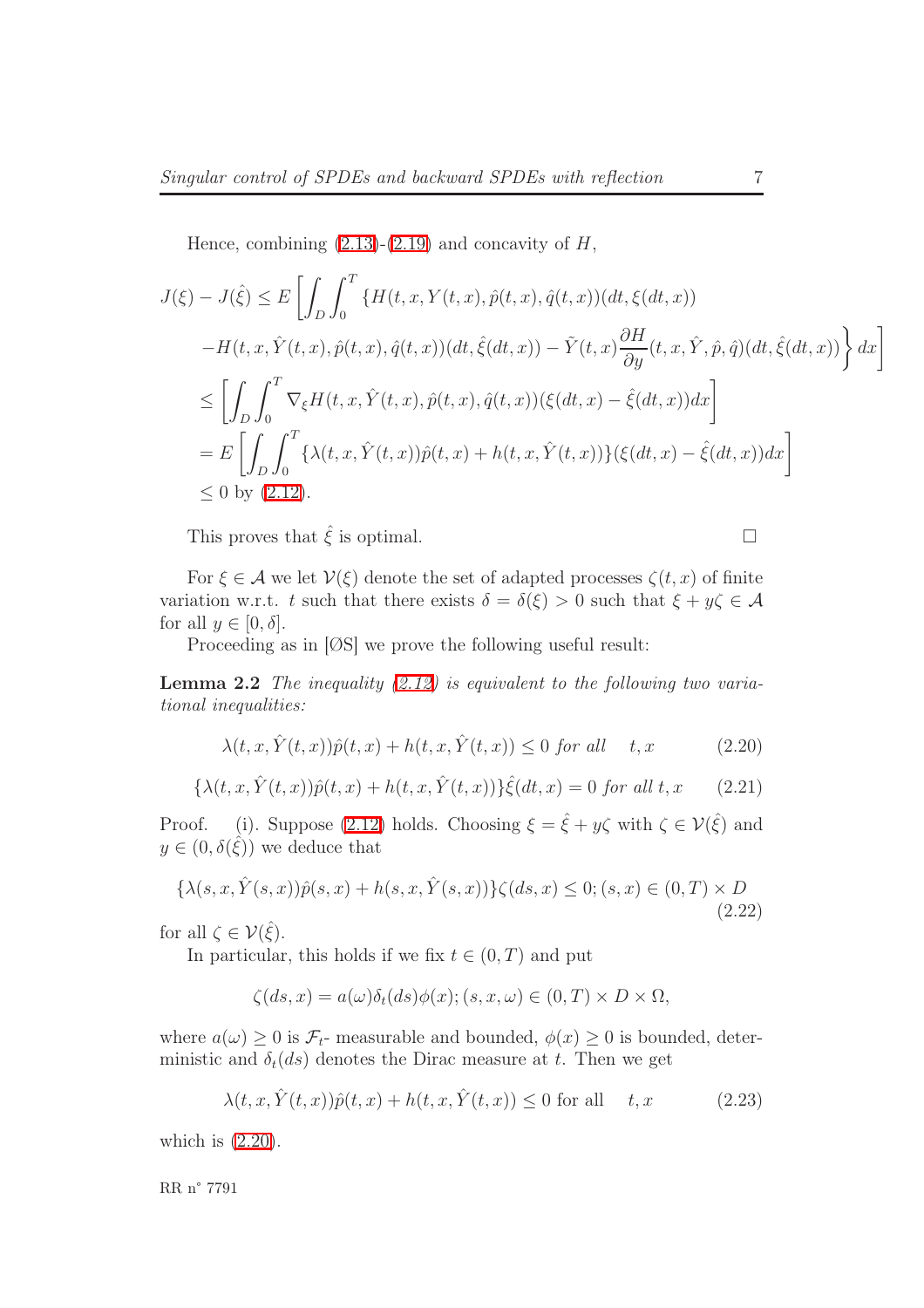Hence, combining  $(2.13)-(2.19)$  $(2.13)-(2.19)$  and concavity of  $H$ ,

$$
J(\xi) - J(\hat{\xi}) \le E \left[ \int_D \int_0^T \{ H(t, x, Y(t, x), \hat{p}(t, x), \hat{q}(t, x)) (dt, \xi(dt, x)) - H(t, x, \hat{Y}(t, x), \hat{p}(t, x), \hat{q}(t, x)) (dt, \hat{\xi}(dt, x)) - \tilde{Y}(t, x) \frac{\partial H}{\partial y}(t, x, \hat{Y}, \hat{p}, \hat{q}) (dt, \hat{\xi}(dt, x)) \right] dx \right]
$$
  
\n
$$
\le \left[ \int_D \int_0^T \nabla_{\xi} H(t, x, \hat{Y}(t, x), \hat{p}(t, x), \hat{q}(t, x)) (\xi(dt, x) - \hat{\xi}(dt, x)) dx \right]
$$
  
\n
$$
= E \left[ \int_D \int_0^T \{ \lambda(t, x, \hat{Y}(t, x)) \hat{p}(t, x) + h(t, x, \hat{Y}(t, x)) \} (\xi(dt, x) - \hat{\xi}(dt, x)) dx \right]
$$
  
\n
$$
\le 0 \text{ by } (2.12).
$$

This proves that  $\hat{\xi}$  is optimal.

For  $\xi \in \mathcal{A}$  we let  $V(\xi)$  denote the set of adapted processes  $\zeta(t, x)$  of finite variation w.r.t. t such that there exists  $\delta = \delta(\xi) > 0$  such that  $\xi + y\zeta \in \mathcal{A}$ for all  $y \in [0, \delta]$ .

Proceeding as in [ØS] we prove the following useful result:

<span id="page-9-0"></span>**Lemma 2.2** The inequality  $(2.12)$  is equivalent to the following two variational inequalities:

$$
\lambda(t, x, \hat{Y}(t, x))\hat{p}(t, x) + h(t, x, \hat{Y}(t, x)) \le 0 \text{ for all } t, x \tag{2.20}
$$

$$
\{\lambda(t, x, \hat{Y}(t, x))\hat{p}(t, x) + h(t, x, \hat{Y}(t, x))\}\hat{\xi}(dt, x) = 0 \text{ for all } t, x \qquad (2.21)
$$

<span id="page-9-2"></span>Proof. (i). Suppose [\(2.12\)](#page-7-2) holds. Choosing  $\xi = \hat{\xi} + y\zeta$  with  $\zeta \in \mathcal{V}(\hat{\xi})$  and  $y \in (0, \delta(\hat{\xi}))$  we deduce that

$$
\{\lambda(s, x, \hat{Y}(s, x))\hat{p}(s, x) + h(s, x, \hat{Y}(s, x))\}\zeta(ds, x) \le 0; (s, x) \in (0, T) \times D
$$
\n(2.22)

<span id="page-9-1"></span>for all  $\zeta \in \mathcal{V}(\hat{\xi})$ .

In particular, this holds if we fix  $t \in (0, T)$  and put

$$
\zeta(ds, x) = a(\omega)\delta_t(ds)\phi(x); (s, x, \omega) \in (0, T) \times D \times \Omega,
$$

where  $a(\omega) \geq 0$  is  $\mathcal{F}_{t}$ - measurable and bounded,  $\phi(x) \geq 0$  is bounded, deterministic and  $\delta_t(ds)$  denotes the Dirac measure at t. Then we get

$$
\lambda(t, x, \hat{Y}(t, x))\hat{p}(t, x) + h(t, x, \hat{Y}(t, x)) \le 0 \text{ for all } t, x \tag{2.23}
$$

<span id="page-9-3"></span>which is  $(2.20)$ .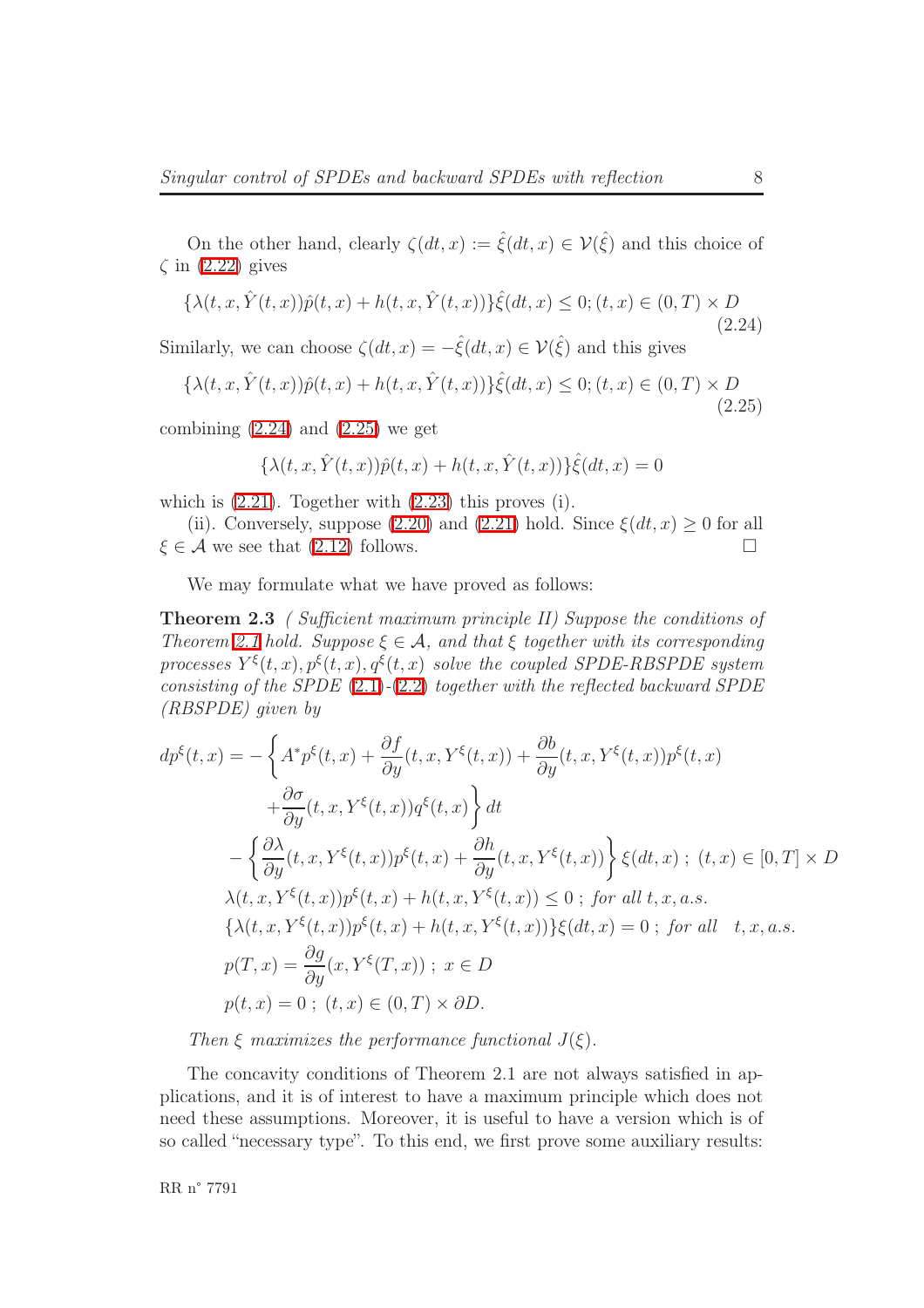On the other hand, clearly  $\zeta(dt,x) := \hat{\xi}(dt,x) \in \mathcal{V}(\hat{\xi})$  and this choice of  $\zeta$  in  $(2.22)$  gives

$$
\{\lambda(t, x, \hat{Y}(t, x))\hat{p}(t, x) + h(t, x, \hat{Y}(t, x))\}\hat{\xi}(dt, x) \le 0; (t, x) \in (0, T) \times D
$$
\n(2.24)

<span id="page-10-1"></span><span id="page-10-0"></span>Similarly, we can choose  $\zeta(dt, x) = -\hat{\xi}(dt, x) \in \mathcal{V}(\hat{\xi})$  and this gives

$$
\{\lambda(t, x, \hat{Y}(t, x))\hat{p}(t, x) + h(t, x, \hat{Y}(t, x))\}\hat{\xi}(dt, x) \le 0; (t, x) \in (0, T) \times D
$$
\n(2.25)

combining  $(2.24)$  and  $(2.25)$  we get

$$
\{\lambda(t, x, \hat{Y}(t, x))\hat{p}(t, x) + h(t, x, \hat{Y}(t, x))\}\hat{\xi}(dt, x) = 0
$$

which is [\(2.21\)](#page-9-2). Together with [\(2.23\)](#page-9-3) this proves (i).

(ii). Conversely, suppose [\(2.20\)](#page-9-0) and [\(2.21\)](#page-9-2) hold. Since  $\xi(dt, x) \geq 0$  for all  $\xi \in \mathcal{A}$  we see that [\(2.12\)](#page-7-2) follows.

We may formulate what we have proved as follows:

Theorem 2.3 ( Sufficient maximum principle II) Suppose the conditions of Theorem [2.1](#page-6-0) hold. Suppose  $\xi \in \mathcal{A}$ , and that  $\xi$  together with its corresponding processes  $Y^{\xi}(t,x), p^{\xi}(t,x), q^{\xi}(t,x)$  solve the coupled SPDE-RBSPDE system consisting of the SPDE  $(2.1)-(2.2)$  $(2.1)-(2.2)$  $(2.1)-(2.2)$  together with the reflected backward SPDE (RBSPDE) given by

$$
dp^{\xi}(t,x) = -\left\{ A^*p^{\xi}(t,x) + \frac{\partial f}{\partial y}(t,x,Y^{\xi}(t,x)) + \frac{\partial b}{\partial y}(t,x,Y^{\xi}(t,x))p^{\xi}(t,x) \right\}+ \frac{\partial \sigma}{\partial y}(t,x,Y^{\xi}(t,x))q^{\xi}(t,x)\right\}dt- \left\{ \frac{\partial \lambda}{\partial y}(t,x,Y^{\xi}(t,x))p^{\xi}(t,x) + \frac{\partial h}{\partial y}(t,x,Y^{\xi}(t,x)) \right\} \xi(dt,x); (t,x) \in [0,T] \times D\lambda(t,x,Y^{\xi}(t,x))p^{\xi}(t,x) + h(t,x,Y^{\xi}(t,x)) \leq 0 \; ; \; \text{for all } t,x,a.s.\{\lambda(t,x,Y^{\xi}(t,x))p^{\xi}(t,x) + h(t,x,Y^{\xi}(t,x))\}\xi(dt,x) = 0 \; ; \; \text{for all} \quad t,x,a.s.\np(T,x) = \frac{\partial g}{\partial y}(x,Y^{\xi}(T,x)); \; x \in D\np(t,x) = 0 \; ; \; (t,x) \in (0,T) \times \partial D.
$$

Then  $\xi$  maximizes the performance functional  $J(\xi)$ .

The concavity conditions of Theorem 2.1 are not always satisfied in applications, and it is of interest to have a maximum principle which does not need these assumptions. Moreover, it is useful to have a version which is of so called "necessary type". To this end, we first prove some auxiliary results: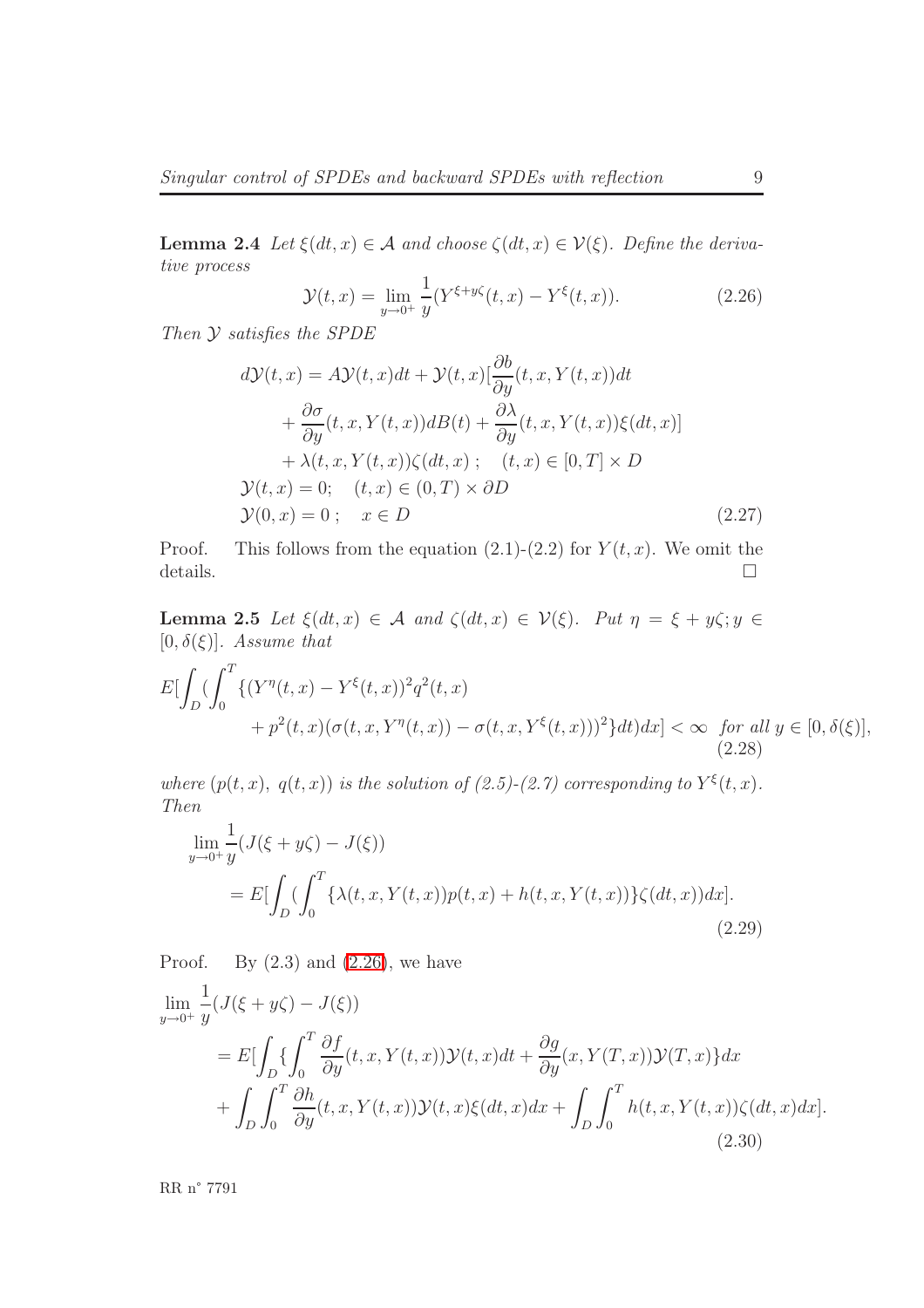**Lemma 2.4** Let  $\xi(dt, x) \in \mathcal{A}$  and choose  $\zeta(dt, x) \in \mathcal{V}(\xi)$ . Define the derivative process

<span id="page-11-1"></span>
$$
\mathcal{Y}(t,x) = \lim_{y \to 0^+} \frac{1}{y} (Y^{\xi + y\zeta}(t,x) - Y^{\xi}(t,x)).
$$
\n(2.26)

<span id="page-11-0"></span>Then Y satisfies the SPDE

$$
d\mathcal{Y}(t,x) = A\mathcal{Y}(t,x)dt + \mathcal{Y}(t,x)[\frac{\partial b}{\partial y}(t,x,Y(t,x))dt + \frac{\partial \sigma}{\partial y}(t,x,Y(t,x))dB(t) + \frac{\partial \lambda}{\partial y}(t,x,Y(t,x))\xi(dt,x)] + \lambda(t,x,Y(t,x))\zeta(dt,x); \quad (t,x) \in [0,T] \times D \n\mathcal{Y}(t,x) = 0; \quad (t,x) \in (0,T) \times \partial D \n\mathcal{Y}(0,x) = 0; \quad x \in D
$$
\n(2.27)

Proof. This follows from the equation  $(2.1)-(2.2)$  for  $Y(t, x)$ . We omit the details.  $\square$ 

<span id="page-11-4"></span>Lemma 2.5 Let  $\xi(dt, x) \in \mathcal{A}$  and  $\zeta(dt, x) \in \mathcal{V}(\xi)$ . Put  $\eta = \xi + y\zeta; y \in \xi$  $[0, \delta(\xi)]$ . Assume that

$$
E\left[\int_{D} \left(\int_{0}^{T} \{ (Y^{\eta}(t,x) - Y^{\xi}(t,x))^{2} q^{2}(t,x) + p^{2}(t,x)(\sigma(t,x,Y^{\eta}(t,x)) - \sigma(t,x,Y^{\xi}(t,x)))^{2} \} dt \right) dx \right] < \infty \text{ for all } y \in [0,\delta(\xi)],
$$
\n(2.28)

where  $(p(t, x), q(t, x))$  is the solution of  $(2.5)-(2.7)$  corresponding to  $Y^{\xi}(t, x)$ . Then

<span id="page-11-2"></span>
$$
\lim_{y \to 0^+} \frac{1}{y} (J(\xi + y\zeta) - J(\xi))
$$
\n
$$
= E \left[ \int_D \left( \int_0^T \{ \lambda(t, x, Y(t, x)) p(t, x) + h(t, x, Y(t, x)) \} \zeta(dt, x) \right) dx \right].
$$
\n(2.29)

Proof. By  $(2.3)$  and  $(2.26)$ , we have

<span id="page-11-3"></span>
$$
\lim_{y \to 0^+} \frac{1}{y} (J(\xi + y\zeta) - J(\xi))
$$
\n
$$
= E\left[\int_D \left\{\int_0^T \frac{\partial f}{\partial y}(t, x, Y(t, x)) \mathcal{Y}(t, x) dt + \frac{\partial g}{\partial y}(x, Y(T, x)) \mathcal{Y}(T, x)\right\} dx + \int_D \int_0^T \frac{\partial h}{\partial y}(t, x, Y(t, x)) \mathcal{Y}(t, x) \xi(dt, x) dx + \int_D \int_0^T h(t, x, Y(t, x)) \zeta(dt, x) dx\right].
$$
\n(2.30)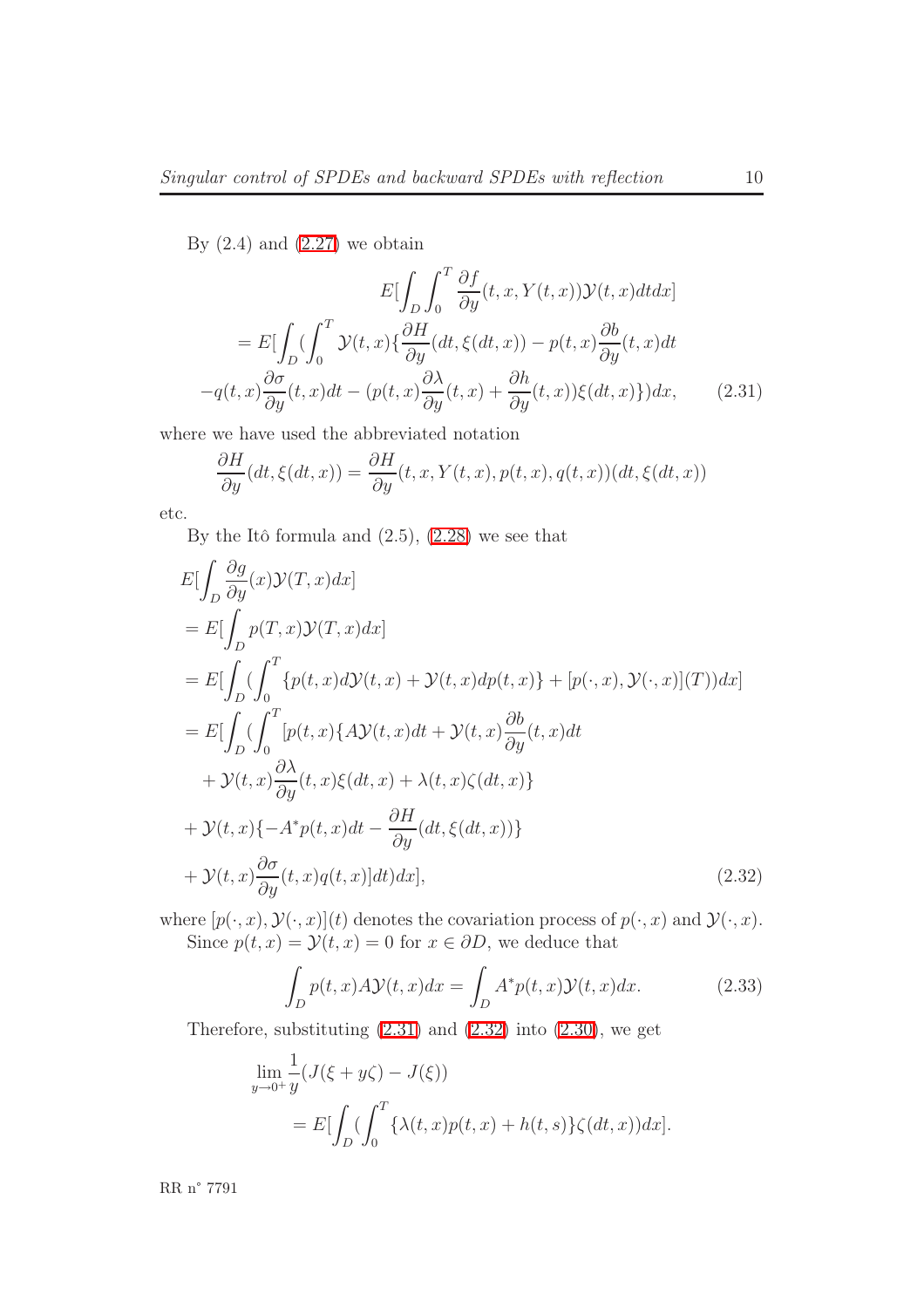By  $(2.4)$  and  $(2.27)$  we obtain

$$
E\left[\int_{D} \int_{0}^{T} \frac{\partial f}{\partial y}(t, x, Y(t, x)) \mathcal{Y}(t, x) dt dx\right]
$$

$$
= E\left[\int_{D} \left(\int_{0}^{T} \mathcal{Y}(t, x) \left\{\frac{\partial H}{\partial y}(dt, \xi(dt, x)) - p(t, x)\frac{\partial b}{\partial y}(t, x) dt - q(t, x)\frac{\partial \sigma}{\partial y}(t, x) dt - (p(t, x)\frac{\partial \lambda}{\partial y}(t, x) + \frac{\partial h}{\partial y}(t, x)) \xi(dt, x)\right\}\right] dx, \tag{2.31}
$$

where we have used the abbreviated notation

<span id="page-12-0"></span>
$$
\frac{\partial H}{\partial y}(dt, \xi(dt, x)) = \frac{\partial H}{\partial y}(t, x, Y(t, x), p(t, x), q(t, x))(dt, \xi(dt, x))
$$

etc.

By the Itô formula and  $(2.5)$ ,  $(2.28)$  we see that

$$
E\left[\int_{D} \frac{\partial g}{\partial y}(x) \mathcal{Y}(T, x) dx\right]
$$
  
\n
$$
= E\left[\int_{D} p(T, x) \mathcal{Y}(T, x) dx\right]
$$
  
\n
$$
= E\left[\int_{D} \left(\int_{0}^{T} \{p(t, x) d\mathcal{Y}(t, x) + \mathcal{Y}(t, x) dp(t, x)\} + [p(\cdot, x), \mathcal{Y}(\cdot, x)](T)\right) dx\right]
$$
  
\n
$$
= E\left[\int_{D} \left(\int_{0}^{T} [p(t, x) \{A\mathcal{Y}(t, x) dt + \mathcal{Y}(t, x) \frac{\partial b}{\partial y}(t, x) dt + \mathcal{Y}(t, x) \frac{\partial \lambda}{\partial y}(t, x) \frac{\partial \lambda}{\partial y}(t, x) \xi(dt, x) + \lambda(t, x) \zeta(dt, x)\right]
$$
  
\n
$$
+ \mathcal{Y}(t, x) \{-A^* p(t, x) dt - \frac{\partial H}{\partial y}(dt, \xi(dt, x))\}
$$
  
\n
$$
+ \mathcal{Y}(t, x) \frac{\partial \sigma}{\partial y}(t, x) q(t, x)] dt \right) dx],
$$
\n(2.32)

where  $[p(\cdot, x), \mathcal{Y}(\cdot, x)](t)$  denotes the covariation process of  $p(\cdot, x)$  and  $\mathcal{Y}(\cdot, x)$ . Since  $p(t, x) = \mathcal{Y}(t, x) = 0$  for  $x \in \partial D$ , we deduce that

<span id="page-12-1"></span>
$$
\int_{D} p(t,x)A\mathcal{Y}(t,x)dx = \int_{D} A^* p(t,x)\mathcal{Y}(t,x)dx.
$$
\n(2.33)

Therefore, substituting  $(2.31)$  and  $(2.32)$  into  $(2.30)$ , we get

$$
\lim_{y \to 0^+} \frac{1}{y} (J(\xi + y\zeta) - J(\xi))
$$
  
= 
$$
E\left[\int_D \left(\int_0^T \{\lambda(t, x)p(t, x) + h(t, s)\}\zeta(dt, x)\right)dx\right].
$$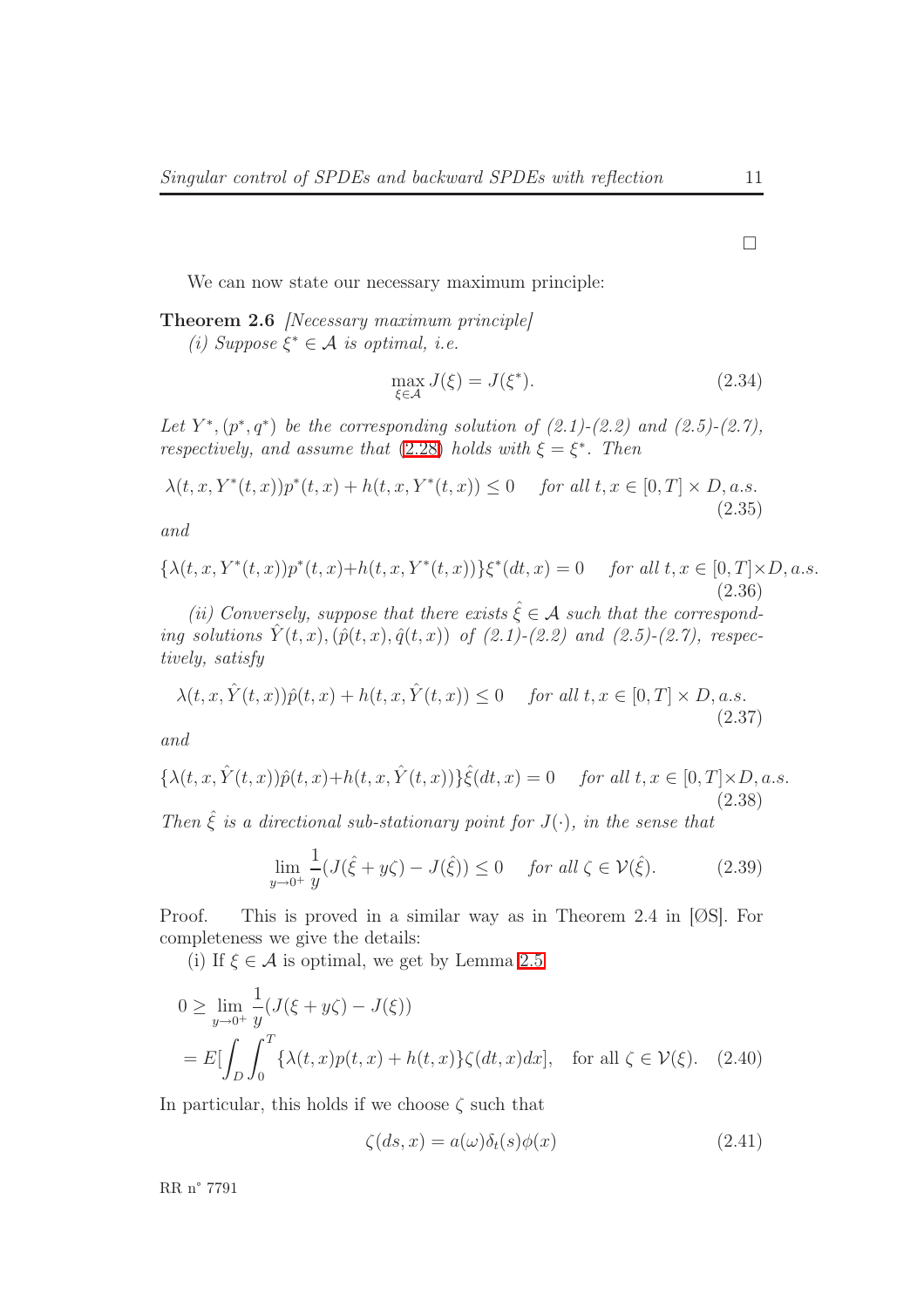We can now state our necessary maximum principle:

Theorem 2.6 *[Necessary maximum principle]* 

(i) Suppose  $\xi^* \in \mathcal{A}$  is optimal, i.e.

$$
\max_{\xi \in \mathcal{A}} J(\xi) = J(\xi^*). \tag{2.34}
$$

Let  $Y^*, (p^*, q^*)$  be the corresponding solution of  $(2.1)-(2.2)$  and  $(2.5)-(2.7)$ , respectively, and assume that [\(2.28\)](#page-11-2) holds with  $\xi = \xi^*$ . Then

 $\lambda(t, x, Y^*(t, x))p^*(t, x) + h(t, x, Y^*(t, x)) \le 0$  for all  $t, x \in [0, T] \times D$ , a.s. (2.35)

and

$$
\{\lambda(t, x, Y^*(t, x))p^*(t, x)+h(t, x, Y^*(t, x))\}\xi^*(dt, x) = 0 \quad \text{for all } t, x \in [0, T] \times D, a.s.\tag{2.36}
$$

(ii) Conversely, suppose that there exists  $\hat{\xi} \in \mathcal{A}$  such that the corresponding solutions  $\hat{Y}(t, x), (\hat{p}(t, x), \hat{q}(t, x))$  of (2.1)-(2.2) and (2.5)-(2.7), respectively, satisfy

$$
\lambda(t, x, \hat{Y}(t, x))\hat{p}(t, x) + h(t, x, \hat{Y}(t, x)) \le 0 \quad \text{for all } t, x \in [0, T] \times D, a.s. \tag{2.37}
$$

and

$$
\{\lambda(t,x,\hat{Y}(t,x))\hat{p}(t,x)+h(t,x,\hat{Y}(t,x))\}\hat{\xi}(dt,x)=0 \quad \text{ for all } t,x \in [0,T] \times D, a.s. \tag{2.38}
$$

<span id="page-13-1"></span>Then  $\hat{\xi}$  is a directional sub-stationary point for  $J(\cdot)$ , in the sense that

$$
\lim_{y \to 0^+} \frac{1}{y} (J(\hat{\xi} + y\zeta) - J(\hat{\xi})) \le 0 \quad \text{for all } \zeta \in \mathcal{V}(\hat{\xi}). \tag{2.39}
$$

Proof. This is proved in a similar way as in Theorem 2.4 in [ØS]. For completeness we give the details:

(i) If  $\xi \in \mathcal{A}$  is optimal, we get by Lemma [2.5](#page-11-4)

$$
0 \ge \lim_{y \to 0^+} \frac{1}{y} (J(\xi + y\zeta) - J(\xi))
$$
  
= 
$$
E\left[\int_D \int_0^T \{\lambda(t, x)p(t, x) + h(t, x)\}\zeta(dt, x)dx\right], \text{ for all } \zeta \in \mathcal{V}(\xi).
$$
 (2.40)

In particular, this holds if we choose  $\zeta$  such that

<span id="page-13-0"></span>
$$
\zeta(ds, x) = a(\omega)\delta_t(s)\phi(x) \tag{2.41}
$$

RR n° 7791

 $\Box$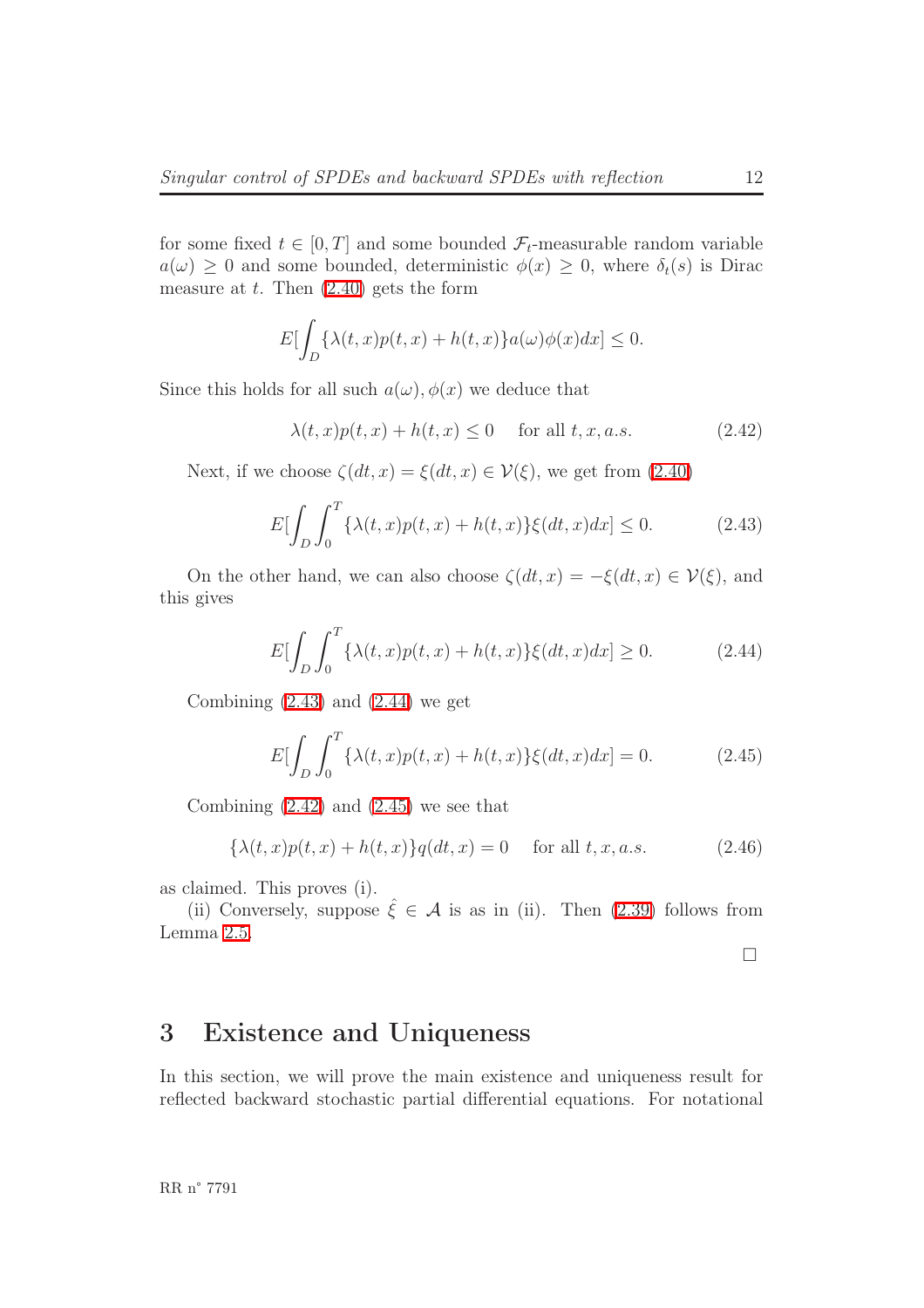for some fixed  $t \in [0, T]$  and some bounded  $\mathcal{F}_t$ -measurable random variable  $a(\omega) \geq 0$  and some bounded, deterministic  $\phi(x) \geq 0$ , where  $\delta_t(s)$  is Dirac measure at  $t$ . Then  $(2.40)$  gets the form

$$
E[\int_D \{\lambda(t,x)p(t,x) + h(t,x)\}a(\omega)\phi(x)dx] \le 0.
$$

<span id="page-14-2"></span>Since this holds for all such  $a(\omega)$ ,  $\phi(x)$  we deduce that

$$
\lambda(t, x)p(t, x) + h(t, x) \le 0 \quad \text{ for all } t, x, a.s.
$$
 (2.42)

Next, if we choose  $\zeta(dt, x) = \xi(dt, x) \in \mathcal{V}(\xi)$ , we get from [\(2.40\)](#page-13-0)

$$
E[\int_{D} \int_{0}^{T} {\lambda(t, x)p(t, x) + h(t, x)} \xi(dt, x) dx] \le 0.
$$
 (2.43)

<span id="page-14-0"></span>On the other hand, we can also choose  $\zeta(dt, x) = -\xi(dt, x) \in \mathcal{V}(\xi)$ , and this gives

$$
E[\int_{D} \int_{0}^{T} {\lambda(t, x)p(t, x) + h(t, x)} \xi(dt, x) dx] \ge 0.
$$
 (2.44)

<span id="page-14-3"></span><span id="page-14-1"></span>Combining  $(2.43)$  and  $(2.44)$  we get

$$
E[\int_{D} \int_{0}^{T} {\lambda(t, x)p(t, x) + h(t, x)} \xi(dt, x) dx] = 0.
$$
 (2.45)

Combining  $(2.42)$  and  $(2.45)$  we see that

$$
\{\lambda(t,x)p(t,x) + h(t,x)\}q(dt,x) = 0 \quad \text{ for all } t, x, a.s. \tag{2.46}
$$

as claimed. This proves (i).

(ii) Conversely, suppose  $\hat{\xi} \in \mathcal{A}$  is as in (ii). Then [\(2.39\)](#page-13-1) follows from Lemma [2.5.](#page-11-4)

 $\Box$ 

## 3 Existence and Uniqueness

In this section, we will prove the main existence and uniqueness result for reflected backward stochastic partial differential equations. For notational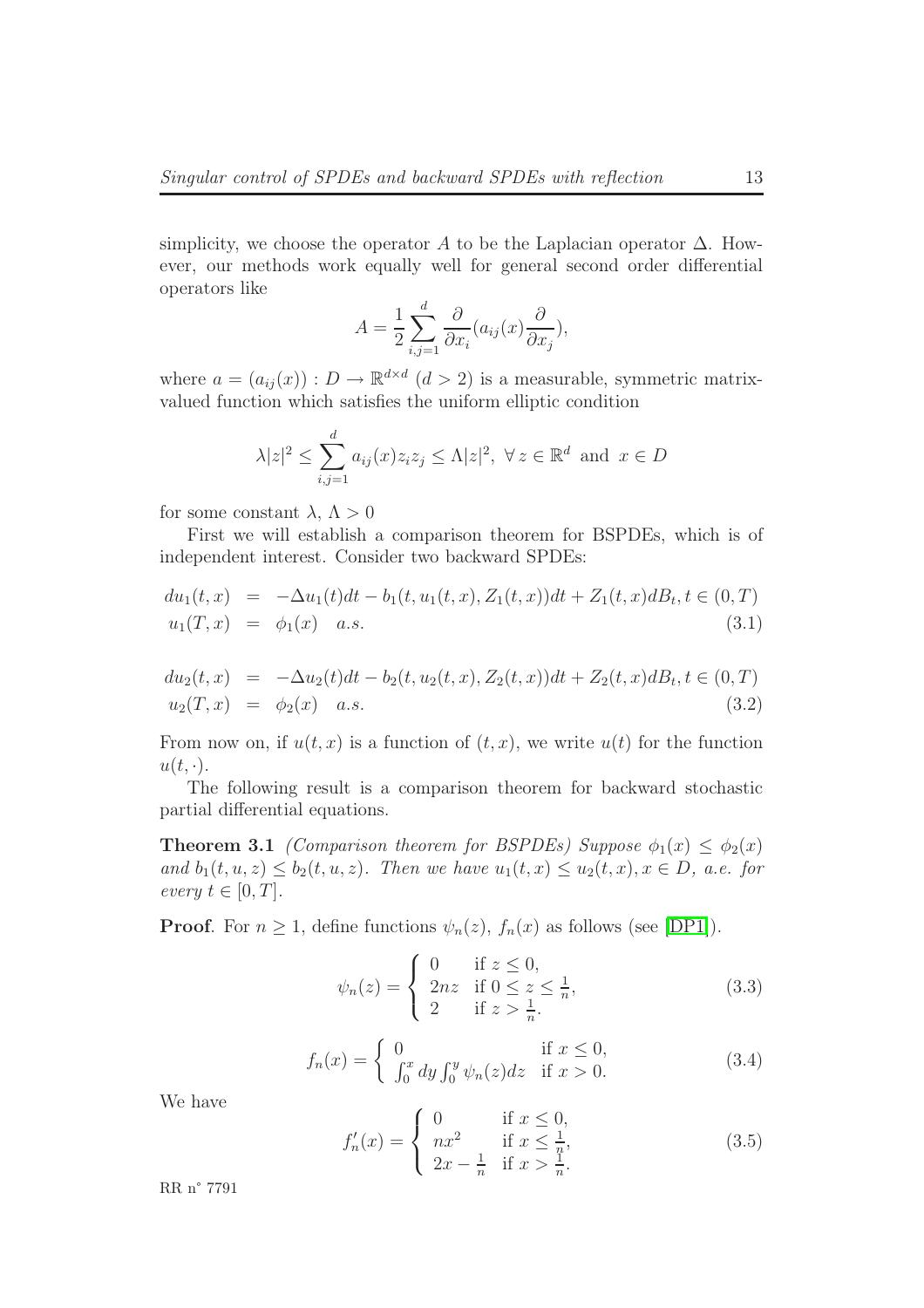simplicity, we choose the operator A to be the Laplacian operator  $\Delta$ . However, our methods work equally well for general second order differential operators like

$$
A = \frac{1}{2} \sum_{i,j=1}^{d} \frac{\partial}{\partial x_i} (a_{ij}(x) \frac{\partial}{\partial x_j}),
$$

where  $a = (a_{ij}(x)) : D \to \mathbb{R}^{d \times d}$   $(d > 2)$  is a measurable, symmetric matrixvalued function which satisfies the uniform elliptic condition

$$
\lambda |z|^2 \leq \sum_{i,j=1}^d a_{ij}(x) z_i z_j \leq \Lambda |z|^2, \ \forall \, z \in \mathbb{R}^d \text{ and } x \in D
$$

for some constant  $\lambda, \Lambda > 0$ 

First we will establish a comparison theorem for BSPDEs, which is of independent interest. Consider two backward SPDEs:

$$
du_1(t,x) = -\Delta u_1(t)dt - b_1(t, u_1(t,x), Z_1(t,x))dt + Z_1(t,x)dB_t, t \in (0,T)
$$
  

$$
u_1(T,x) = \phi_1(x) \quad a.s.
$$
 (3.1)

$$
du_2(t,x) = -\Delta u_2(t)dt - b_2(t, u_2(t,x), Z_2(t,x))dt + Z_2(t,x)dB_t, t \in (0,T)
$$
  

$$
u_2(T,x) = \phi_2(x) \quad a.s.
$$
 (3.2)

From now on, if  $u(t, x)$  is a function of  $(t, x)$ , we write  $u(t)$  for the function  $u(t, \cdot).$ 

The following result is a comparison theorem for backward stochastic partial differential equations.

**Theorem 3.1** (Comparison theorem for BSPDEs) Suppose  $\phi_1(x) \leq \phi_2(x)$ and  $b_1(t, u, z) \leq b_2(t, u, z)$ . Then we have  $u_1(t, x) \leq u_2(t, x), x \in D$ , a.e. for every  $t \in [0, T]$ .

**Proof.** For  $n \geq 1$ , define functions  $\psi_n(z)$ ,  $f_n(x)$  as follows (see [\[DP1\]](#page-31-0)).

$$
\psi_n(z) = \begin{cases} 0 & \text{if } z \le 0, \\ 2nz & \text{if } 0 \le z \le \frac{1}{n}, \\ 2 & \text{if } z > \frac{1}{n}. \end{cases}
$$
 (3.3)

$$
f_n(x) = \begin{cases} 0 & \text{if } x \le 0, \\ \int_0^x dy \int_0^y \psi_n(z) dz & \text{if } x > 0. \end{cases}
$$
 (3.4)

We have

$$
f'_n(x) = \begin{cases} 0 & \text{if } x \le 0, \\ nx^2 & \text{if } x \le \frac{1}{n}, \\ 2x - \frac{1}{n} & \text{if } x > \frac{1}{n}. \end{cases}
$$
 (3.5)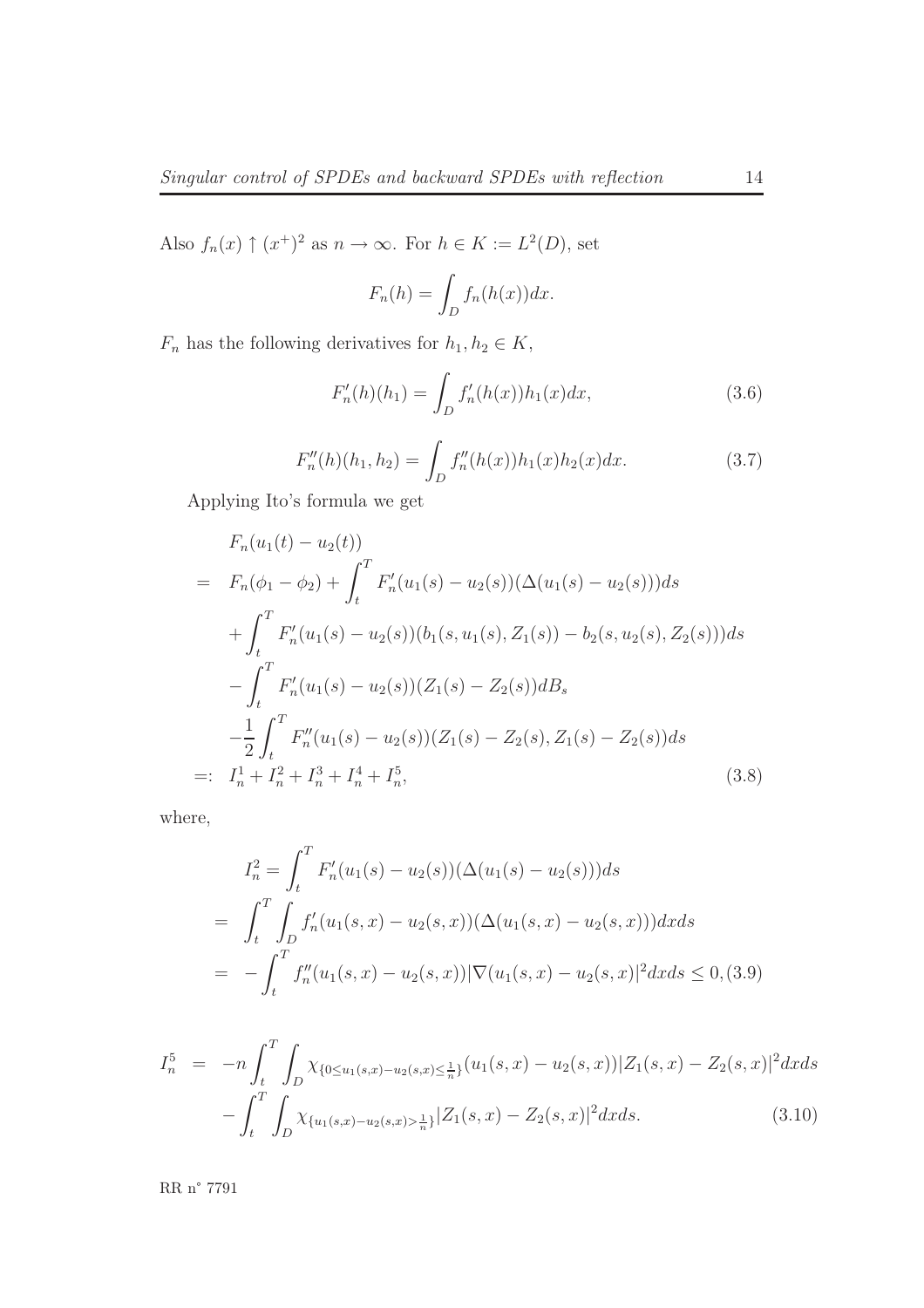Also  $f_n(x) \uparrow (x^+)^2$  as  $n \to \infty$ . For  $h \in K := L^2(D)$ , set

$$
F_n(h) = \int_D f_n(h(x))dx.
$$

 $F_n$  has the following derivatives for  $h_1, h_2 \in K$ ,

$$
F'_n(h)(h_1) = \int_D f'_n(h(x))h_1(x)dx,
$$
\n(3.6)

$$
F_n''(h)(h_1, h_2) = \int_D f_n''(h(x))h_1(x)h_2(x)dx.
$$
 (3.7)

<span id="page-16-1"></span>Applying Ito's formula we get

$$
F_n(u_1(t) - u_2(t))
$$
  
=  $F_n(\phi_1 - \phi_2) + \int_t^T F'_n(u_1(s) - u_2(s))(\Delta(u_1(s) - u_2(s)))ds$   
+  $\int_t^T F'_n(u_1(s) - u_2(s)) (b_1(s, u_1(s), Z_1(s)) - b_2(s, u_2(s), Z_2(s)))ds$   
-  $\int_t^T F'_n(u_1(s) - u_2(s)) (Z_1(s) - Z_2(s))dB_s$   
-  $\frac{1}{2} \int_t^T F''_n(u_1(s) - u_2(s)) (Z_1(s) - Z_2(s), Z_1(s) - Z_2(s))ds$   
=:  $I_n^1 + I_n^2 + I_n^3 + I_n^4 + I_n^5$ , (3.8)

<span id="page-16-2"></span>where,

$$
I_n^2 = \int_t^T F'_n(u_1(s) - u_2(s))(\Delta(u_1(s) - u_2(s)))ds
$$
  
= 
$$
\int_t^T \int_D f'_n(u_1(s, x) - u_2(s, x))(\Delta(u_1(s, x) - u_2(s, x)))dxds
$$
  
= 
$$
- \int_t^T f''_n(u_1(s, x) - u_2(s, x))|\nabla(u_1(s, x) - u_2(s, x)|^2dxds \le 0, (3.9)
$$

<span id="page-16-0"></span>
$$
I_n^5 = -n \int_t^T \int_D \chi_{\{0 \le u_1(s,x) - u_2(s,x) \le \frac{1}{n}\}}(u_1(s,x) - u_2(s,x)) |Z_1(s,x) - Z_2(s,x)|^2 dx ds - \int_t^T \int_D \chi_{\{u_1(s,x) - u_2(s,x) > \frac{1}{n}\}} |Z_1(s,x) - Z_2(s,x)|^2 dx ds.
$$
 (3.10)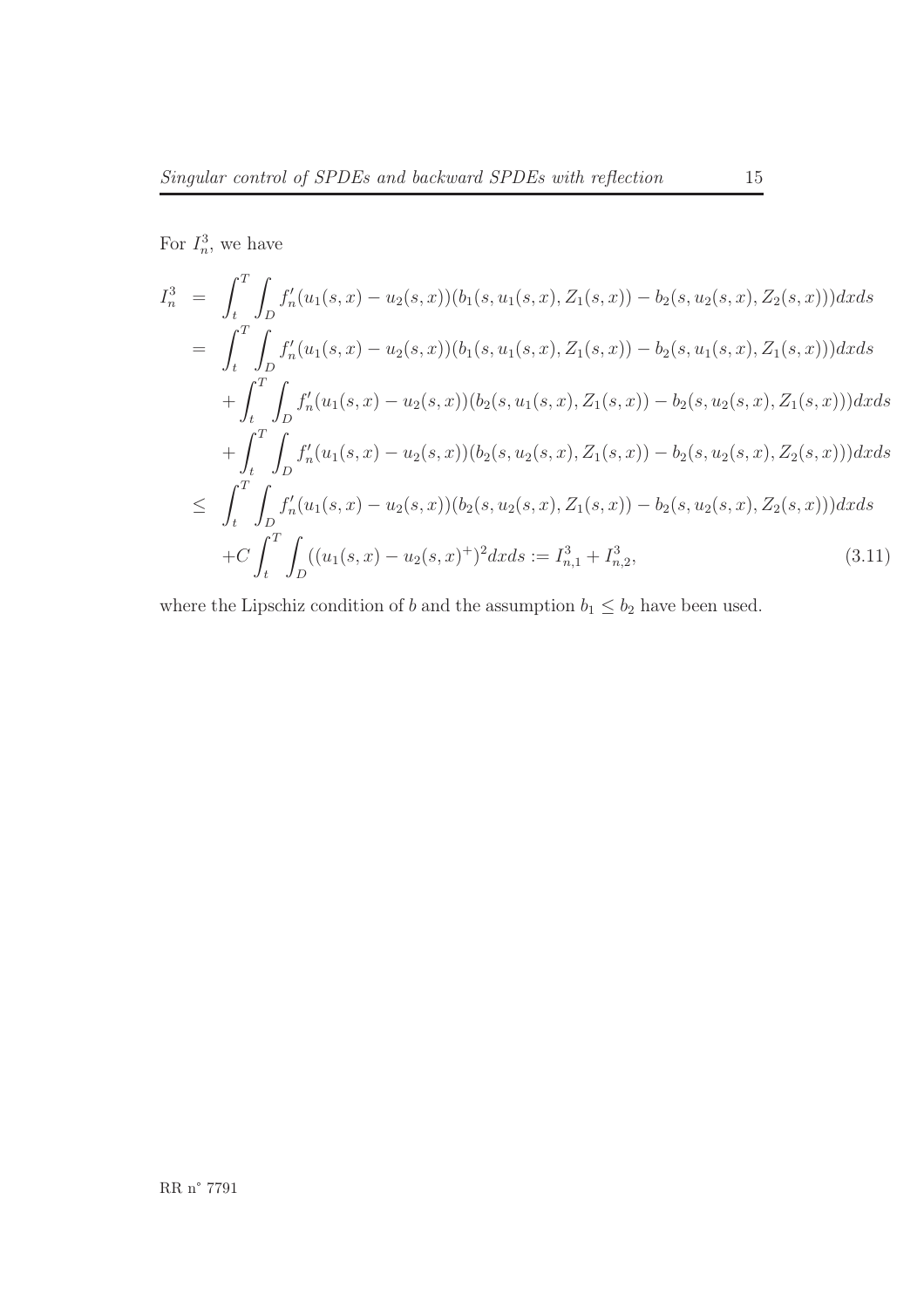For  $I_n^3$ , we have

<span id="page-17-0"></span>
$$
I_n^3 = \int_t^T \int_D f'_n(u_1(s, x) - u_2(s, x))(b_1(s, u_1(s, x), Z_1(s, x)) - b_2(s, u_2(s, x), Z_2(s, x)))dx ds
$$
  
\n
$$
= \int_t^T \int_D f'_n(u_1(s, x) - u_2(s, x))(b_1(s, u_1(s, x), Z_1(s, x)) - b_2(s, u_1(s, x), Z_1(s, x)))dx ds
$$
  
\n
$$
+ \int_t^T \int_D f'_n(u_1(s, x) - u_2(s, x))(b_2(s, u_1(s, x), Z_1(s, x)) - b_2(s, u_2(s, x), Z_1(s, x)))dx ds
$$
  
\n
$$
+ \int_t^T \int_D f'_n(u_1(s, x) - u_2(s, x))(b_2(s, u_2(s, x), Z_1(s, x)) - b_2(s, u_2(s, x), Z_2(s, x)))dx ds
$$
  
\n
$$
\leq \int_t^T \int_D f'_n(u_1(s, x) - u_2(s, x))(b_2(s, u_2(s, x), Z_1(s, x)) - b_2(s, u_2(s, x), Z_2(s, x)))dx ds
$$
  
\n
$$
+ C \int_t^T \int_D ((u_1(s, x) - u_2(s, x)^+)^2 dx ds := I_{n,1}^3 + I_{n,2}^3,
$$
\n(3.11)

where the Lipschiz condition of b and the assumption  $b_1 \leq b_2$  have been used.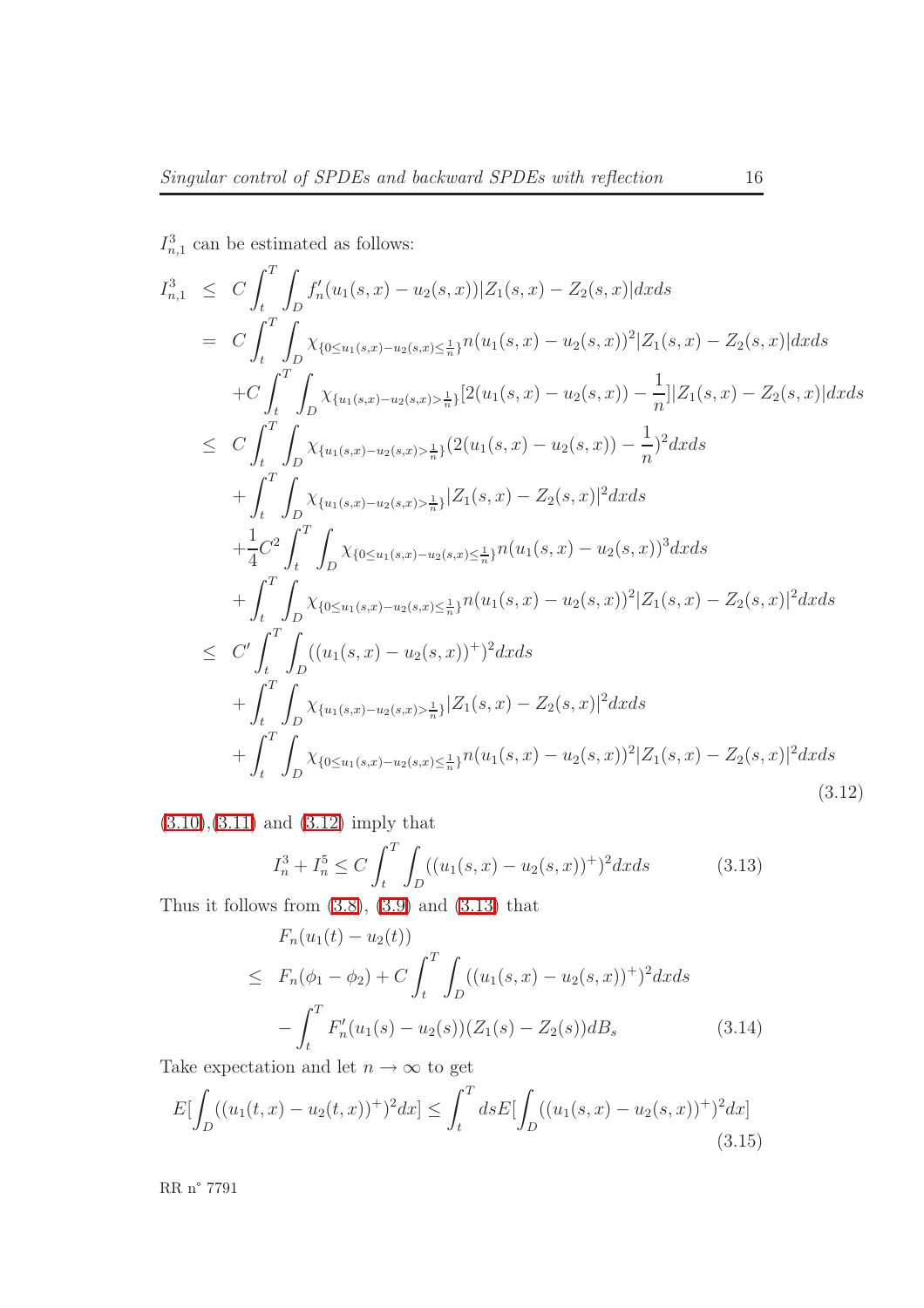$I_{n,1}^3$  can be estimated as follows:

<span id="page-18-0"></span>
$$
I_{n,1}^{3} \leq C \int_{t}^{T} \int_{D} f'_{n}(u_{1}(s,x)-u_{2}(s,x)) |Z_{1}(s,x)-Z_{2}(s,x)| dx ds
$$
\n
$$
= C \int_{t}^{T} \int_{D} \chi_{\{0 \leq u_{1}(s,x)-u_{2}(s,x) \leq \frac{1}{n}\}} n(u_{1}(s,x)-u_{2}(s,x))^{2} |Z_{1}(s,x)-Z_{2}(s,x)| dx ds
$$
\n
$$
+ C \int_{t}^{T} \int_{D} \chi_{\{u_{1}(s,x)-u_{2}(s,x) > \frac{1}{n}\}} [2(u_{1}(s,x)-u_{2}(s,x)) - \frac{1}{n}] |Z_{1}(s,x)-Z_{2}(s,x)| dx ds
$$
\n
$$
\leq C \int_{t}^{T} \int_{D} \chi_{\{u_{1}(s,x)-u_{2}(s,x) > \frac{1}{n}\}} (2(u_{1}(s,x)-u_{2}(s,x)) - \frac{1}{n})^{2} dx ds
$$
\n
$$
+ \int_{t}^{T} \int_{D} \chi_{\{u_{1}(s,x)-u_{2}(s,x) > \frac{1}{n}\}} |Z_{1}(s,x)-Z_{2}(s,x)|^{2} dx ds
$$
\n
$$
+ \frac{1}{4} C^{2} \int_{t}^{T} \int_{D} \chi_{\{0 \leq u_{1}(s,x)-u_{2}(s,x) \leq \frac{1}{n}\}} n(u_{1}(s,x)-u_{2}(s,x))^{3} dx ds
$$
\n
$$
\leq C' \int_{t}^{T} \int_{D} \chi_{\{0 \leq u_{1}(s,x)-u_{2}(s,x) \leq \frac{1}{n}\}} n(u_{1}(s,x)-u_{2}(s,x))^{2} |Z_{1}(s,x)-Z_{2}(s,x)|^{2} dx ds
$$
\n
$$
+ \int_{t}^{T} \int_{D} \chi_{\{u_{1}(s,x)-u_{2}(s,x) > \frac{1}{n}\}} |Z_{1}(s,x)-Z_{2}(s,x)|^{2} dx ds
$$
\n
$$
+ \int_{t}^{T} \int_{D} \chi_{\{u_{1}(s,x)-u_{2}(s,x) > \frac{1}{n}\}} |Z_{1}(s,x)-Z_{2}(s,x)|^{2} dx ds
$$
\n
$$
(3.12)
$$

<span id="page-18-1"></span>[\(3.10\)](#page-16-0),[\(3.11\)](#page-17-0) and [\(3.12\)](#page-18-0) imply that

$$
I_n^3 + I_n^5 \le C \int_t^T \int_D ((u_1(s, x) - u_2(s, x))^+)^2 dx ds \tag{3.13}
$$

Thus it follows from  $(3.8)$ ,  $(3.9)$  and  $(3.13)$  that

$$
F_n(u_1(t) - u_2(t))
$$
  
\n
$$
\leq F_n(\phi_1 - \phi_2) + C \int_t^T \int_D ((u_1(s, x) - u_2(s, x))^+ )^2 dx ds
$$
  
\n
$$
- \int_t^T F'_n(u_1(s) - u_2(s)) (Z_1(s) - Z_2(s)) dB_s
$$
\n(3.14)

Take expectation and let  $n \to \infty$  to get

$$
E[\int_D ((u_1(t,x) - u_2(t,x))^+)^2 dx] \le \int_t^T ds E[\int_D ((u_1(s,x) - u_2(s,x))^+)^2 dx]
$$
\n(3.15)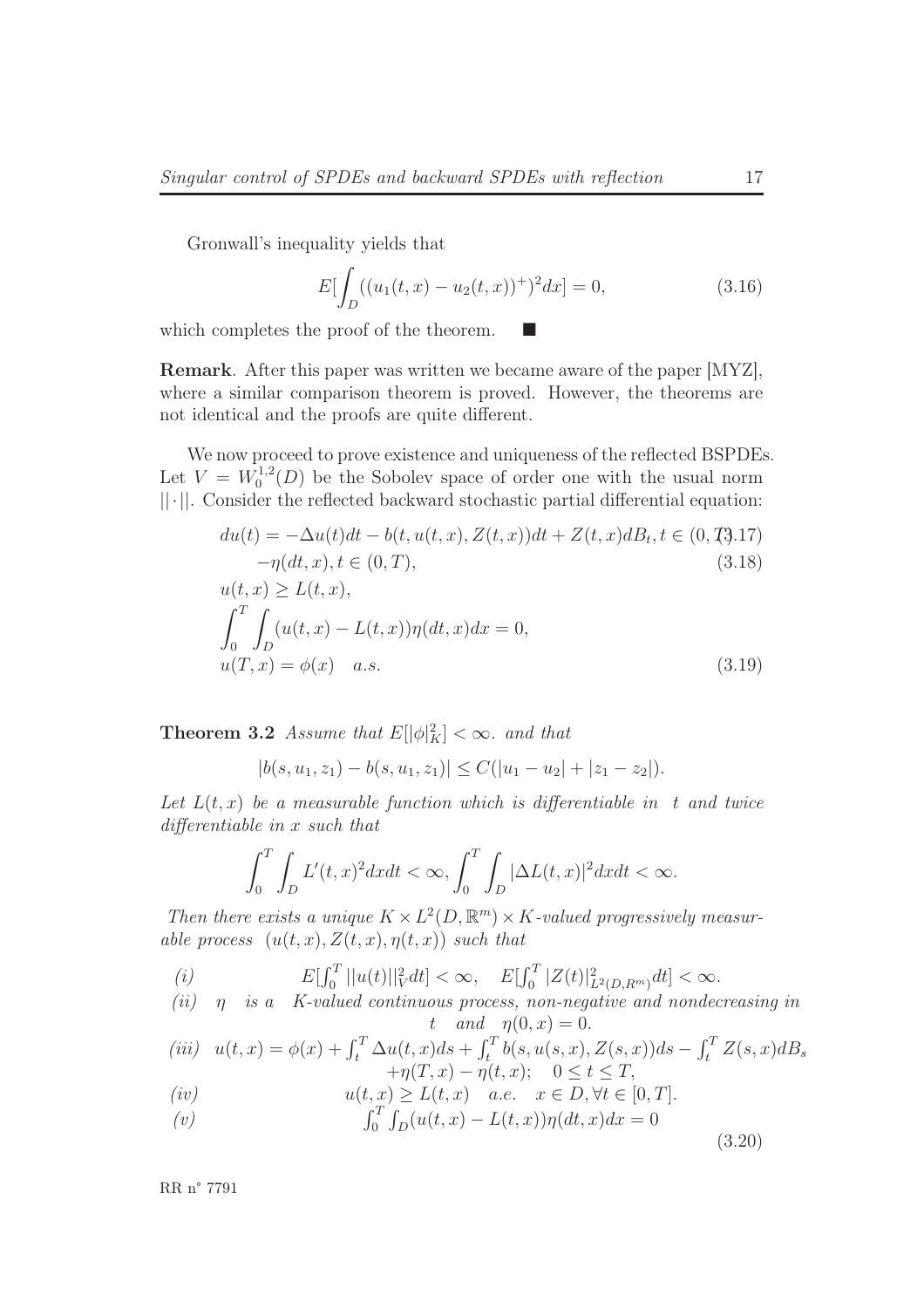Gronwall's inequality yields that

$$
E\left[\int_D ((u_1(t,x) - u_2(t,x))^+)^2 dx\right] = 0,\t(3.16)
$$

which completes the proof of the theorem.

Remark. After this paper was written we became aware of the paper [MYZ], where a similar comparison theorem is proved. However, the theorems are not identical and the proofs are quite different.

<span id="page-19-1"></span>We now proceed to prove existence and uniqueness of the reflected BSPDEs. Let  $V = W_0^{1,2}$  $\chi_0^{1,2}(D)$  be the Sobolev space of order one with the usual norm ||·||. Consider the reflected backward stochastic partial differential equation:

$$
du(t) = -\Delta u(t)dt - b(t, u(t, x), Z(t, x))dt + Z(t, x)dB_t, t \in (0, T, 17)- \eta(dt, x), t \in (0, T),
$$
\n(3.18)  
\n
$$
u(t, x) \ge L(t, x),
$$
\n
$$
\int_0^T \int_D (u(t, x) - L(t, x))\eta(dt, x)dx = 0,
$$
\n
$$
u(T, x) = \phi(x) \quad a.s.
$$
\n(3.19)

**Theorem 3.2** Assume that  $E[|\phi|_K^2] < \infty$ . and that

$$
|b(s, u_1, z_1) - b(s, u_1, z_1)| \le C(|u_1 - u_2| + |z_1 - z_2|).
$$

Let  $L(t, x)$  be a measurable function which is differentiable in t and twice differentiable in x such that

$$
\int_0^T \int_D L'(t,x)^2 dxdt < \infty, \int_0^T \int_D |\Delta L(t,x)|^2 dxdt < \infty.
$$

Then there exists a unique  $K \times L^2(D, \mathbb{R}^m) \times K$ -valued progressively measurable process  $(u(t, x), Z(t, x), \eta(t, x))$  such that

(i) 
$$
E[\int_0^T ||u(t)||_V^2 dt] < \infty, \quad E[\int_0^T |Z(t)|_{L^2(D, R^m)}^2 dt] < \infty.
$$
  
(ii) n is a *K*-valued continuous process non-negative and nondec

(*u*)  $\eta$  is a K-valued continuous process, non-negative and nondecreasing in t and  $\eta(0, x) = 0$ .

<span id="page-19-0"></span>(iii) 
$$
u(t, x) = \phi(x) + \int_t^T \Delta u(t, x) ds + \int_t^T b(s, u(s, x), Z(s, x)) ds - \int_t^T Z(s, x) dB_s + \eta(T, x) - \eta(t, x); \quad 0 \le t \le T,
$$

$$
(iv) \t u(t,x) \ge L(t,x) \t a.e. \t x \in D, \forall t \in [0,T].
$$

(v) 
$$
\int_0^T \int_D (u(t, x) - L(t, x)) \eta(dt, x) dx = 0
$$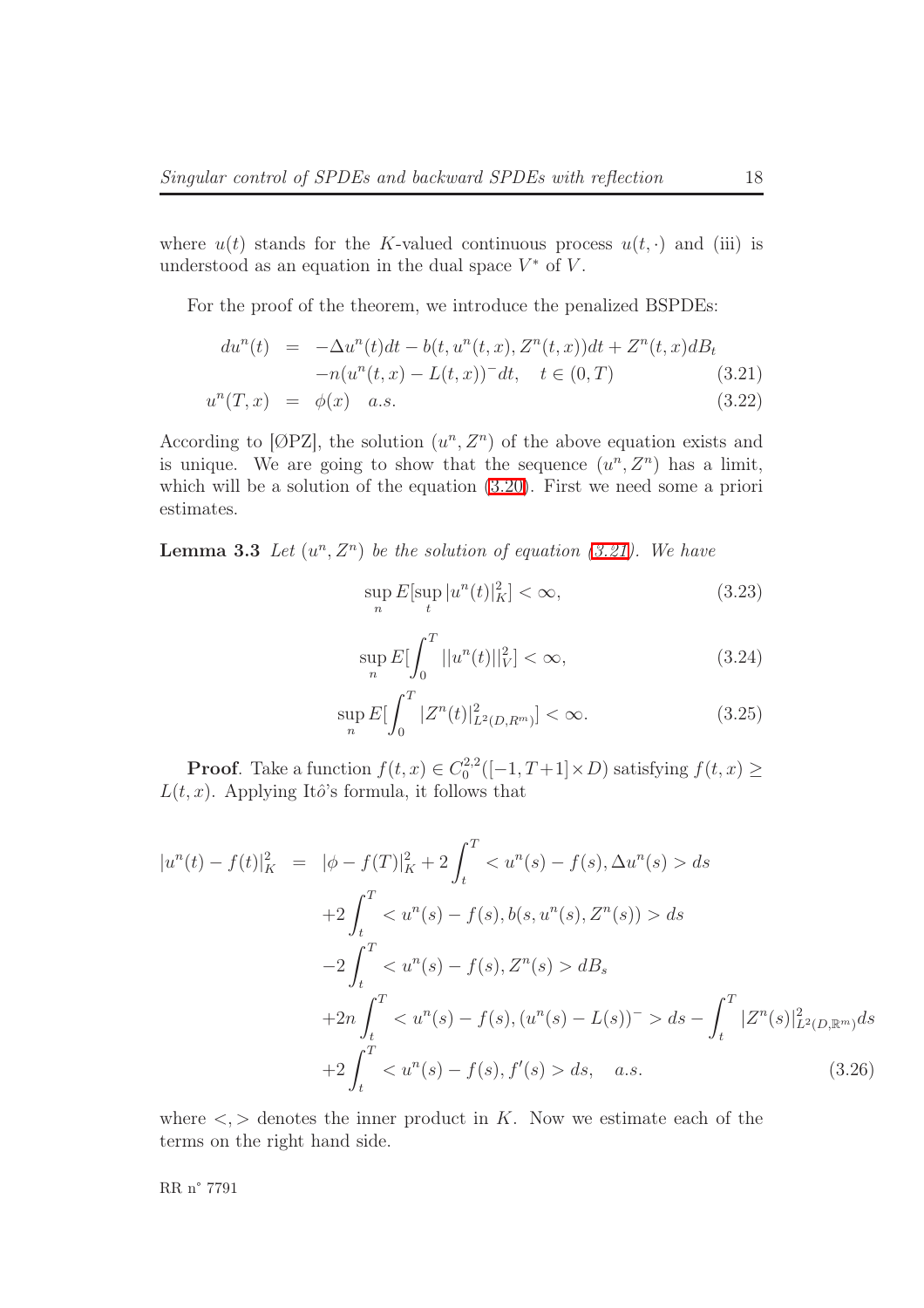where  $u(t)$  stands for the K-valued continuous process  $u(t, \cdot)$  and (iii) is understood as an equation in the dual space  $V^*$  of  $V$ .

<span id="page-20-0"></span>For the proof of the theorem, we introduce the penalized BSPDEs:

$$
du^{n}(t) = -\Delta u^{n}(t)dt - b(t, u^{n}(t, x), Z^{n}(t, x))dt + Z^{n}(t, x)dB_{t}
$$
  

$$
-n(u^{n}(t, x) - L(t, x))^{-}dt, \quad t \in (0, T)
$$
  

$$
u^{n}(T, x) = \phi(x) \quad a.s.
$$
 (3.22)

According to [ $\varnothing$ PZ], the solution  $(u^n, Z^n)$  of the above equation exists and is unique. We are going to show that the sequence  $(u^n, Z^n)$  has a limit, which will be a solution of the equation  $(3.20)$ . First we need some a priori estimates.

<span id="page-20-2"></span>**Lemma 3.3** Let  $(u^n, Z^n)$  be the solution of equation [\(3.21\)](#page-20-0). We have

$$
\sup_{n} E[\sup_{t} |u^{n}(t)|_{K}^{2}] < \infty,
$$
\n(3.23)

$$
\sup_{n} E[\int_{0}^{T} ||u^{n}(t)||_{V}^{2}] < \infty,
$$
\n(3.24)

$$
\sup_{n} E[\int_{0}^{T} |Z^{n}(t)|_{L^{2}(D,R^{m})}^{2}] < \infty.
$$
\n(3.25)

**Proof.** Take a function  $f(t, x) \in C_0^{2,2}$  $0^{2,2}([-1,T+1] \times D)$  satisfying  $f(t,x) \geq$  $L(t, x)$ . Applying Itô's formula, it follows that

<span id="page-20-1"></span>
$$
|u^{n}(t) - f(t)|_{K}^{2} = |\phi - f(T)|_{K}^{2} + 2 \int_{t}^{T} \langle u^{n}(s) - f(s), \Delta u^{n}(s) \rangle ds
$$
  
+2\int\_{t}^{T} \langle u^{n}(s) - f(s), b(s, u^{n}(s), Z^{n}(s)) \rangle ds  
-2\int\_{t}^{T} \langle u^{n}(s) - f(s), Z^{n}(s) \rangle dB\_{s}  
+2n\int\_{t}^{T} \langle u^{n}(s) - f(s), (u^{n}(s) - L(s))^{-} \rangle ds - \int\_{t}^{T} |Z^{n}(s)|\_{L^{2}(D, \mathbb{R}^{m})}^{2} ds  
+2\int\_{t}^{T} \langle u^{n}(s) - f(s), f'(s) \rangle ds, \quad a.s. (3.26)

where  $\langle \cdot, \cdot \rangle$  denotes the inner product in K. Now we estimate each of the terms on the right hand side.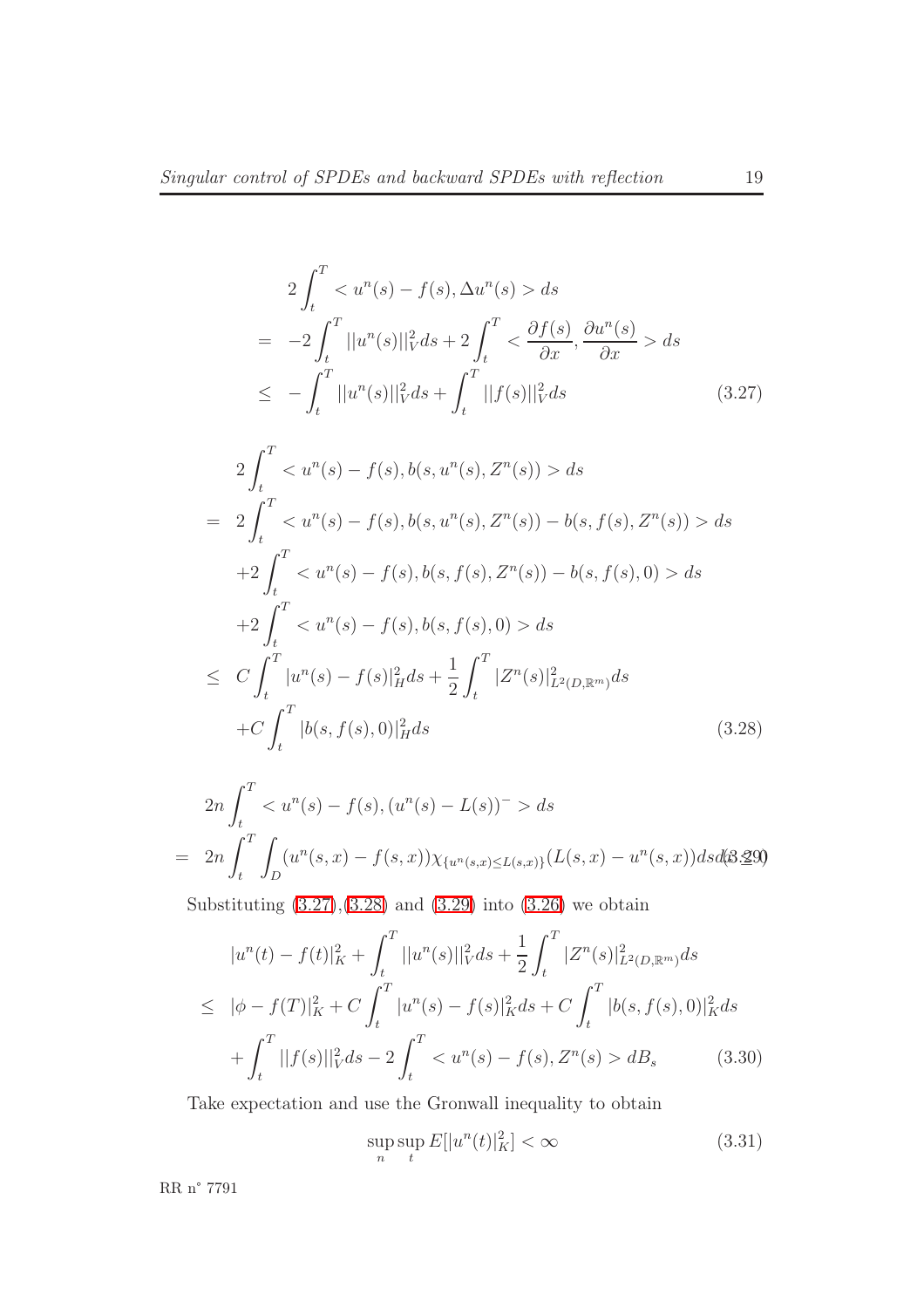<span id="page-21-0"></span>
$$
2\int_{t}^{T} < u^{n}(s) - f(s), \Delta u^{n}(s) > ds
$$
  
\n
$$
= -2\int_{t}^{T} ||u^{n}(s)||_{V}^{2} ds + 2\int_{t}^{T} < \frac{\partial f(s)}{\partial x}, \frac{\partial u^{n}(s)}{\partial x} > ds
$$
  
\n
$$
\leq -\int_{t}^{T} ||u^{n}(s)||_{V}^{2} ds + \int_{t}^{T} ||f(s)||_{V}^{2} ds \qquad (3.27)
$$
  
\n
$$
2\int_{t}^{T} < u^{n}(s) - f(s), b(s, u^{n}(s), Z^{n}(s)) > ds
$$
  
\n
$$
= 2\int_{t}^{T} < u^{n}(s) - f(s), b(s, u^{n}(s), Z^{n}(s)) - b(s, f(s), Z^{n}(s)) > ds
$$

<span id="page-21-1"></span>
$$
-2 \int_{t}^{T} \langle u^{n}(s) - f(s), b(s, f(s), Z^{n}(s)) - b(s, f(s), 0) \rangle ds
$$
  
+2 \int\_{t}^{T} \langle u^{n}(s) - f(s), b(s, f(s), 0) \rangle ds  
+2 \int\_{t}^{T} \langle u^{n}(s) - f(s), b(s, f(s), 0) \rangle ds  

$$
\leq C \int_{t}^{T} |u^{n}(s) - f(s)|_{H}^{2} ds + \frac{1}{2} \int_{t}^{T} |Z^{n}(s)|_{L^{2}(D, \mathbb{R}^{m})}^{2} ds
$$
  
+C \int\_{t}^{T} |b(s, f(s), 0)|\_{H}^{2} ds \qquad (3.28)

<span id="page-21-2"></span>
$$
2n \int_{t}^{T} < u^{n}(s) - f(s), (u^{n}(s) - L(s))^{-} > ds
$$
  
= 
$$
2n \int_{t}^{T} \int_{D} (u^{n}(s, x) - f(s, x)) \chi_{\{u^{n}(s, x) \le L(s, x)\}} (L(s, x) - u^{n}(s, x)) ds d\theta
$$

Substituting  $(3.27),(3.28)$  $(3.27),(3.28)$  and  $(3.29)$  into  $(3.26)$  we obtain

$$
|u^n(t) - f(t)|_K^2 + \int_t^T ||u^n(s)||_V^2 ds + \frac{1}{2} \int_t^T |Z^n(s)|_{L^2(D,\mathbb{R}^m)}^2 ds
$$
  
\n
$$
\leq |\phi - f(T)|_K^2 + C \int_t^T |u^n(s) - f(s)|_K^2 ds + C \int_t^T |b(s, f(s), 0)|_K^2 ds
$$
  
\n
$$
+ \int_t^T ||f(s)||_V^2 ds - 2 \int_t^T < u^n(s) - f(s), Z^n(s) > dB_s
$$
(3.30)

<span id="page-21-3"></span>Take expectation and use the Gronwall inequality to obtain

$$
\sup_{n} \sup_{t} E[|u^n(t)|_K^2] < \infty \tag{3.31}
$$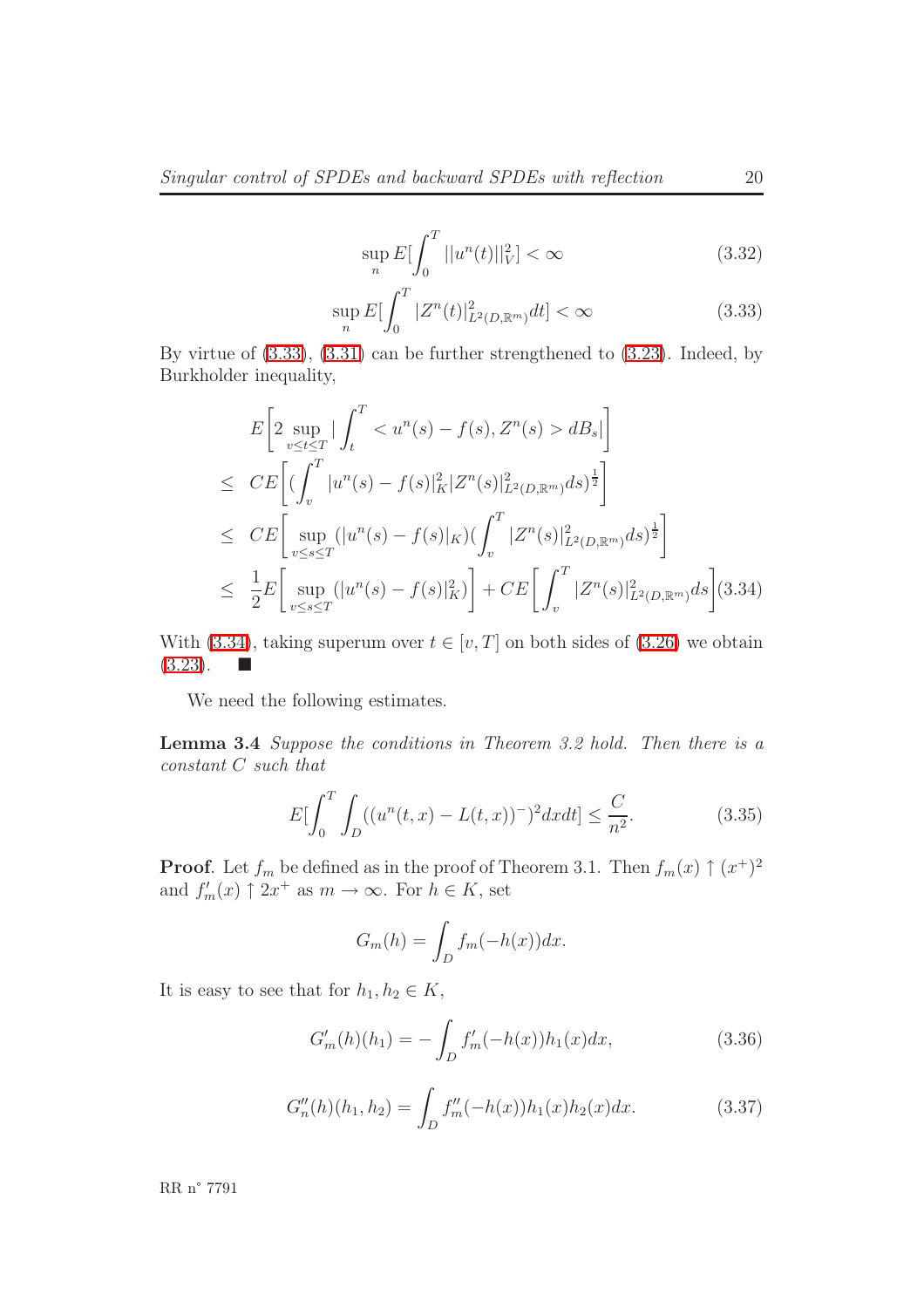$$
\sup_{n} E[\int_{0}^{T} ||u^{n}(t)||_{V}^{2}] < \infty
$$
\n(3.32)

$$
\sup_{n} E[\int_{0}^{T} |Z^{n}(t)|_{L^{2}(D,\mathbb{R}^{m})}^{2} dt] < \infty
$$
\n(3.33)

<span id="page-22-1"></span><span id="page-22-0"></span>By virtue of [\(3.33\)](#page-22-0), [\(3.31\)](#page-21-3) can be further strengthened to [\(3.23\)](#page-20-2). Indeed, by Burkholder inequality,

$$
E\left[2 \sup_{v \le t \le T} \left| \int_{t}^{T} < u^{n}(s) - f(s), Z^{n}(s) > dB_{s} \right| \right]
$$
\n
$$
\le C E\left[ (\int_{v}^{T} |u^{n}(s) - f(s)|_{K}^{2} |Z^{n}(s)|_{L^{2}(D, \mathbb{R}^{m})}^{2} ds)^{\frac{1}{2}} \right]
$$
\n
$$
\le C E\left[ \sup_{v \le s \le T} (\left| u^{n}(s) - f(s) \right|_{K}) (\int_{v}^{T} |Z^{n}(s)|_{L^{2}(D, \mathbb{R}^{m})}^{2} ds)^{\frac{1}{2}} \right]
$$
\n
$$
\le \frac{1}{2} E\left[ \sup_{v \le s \le T} (\left| u^{n}(s) - f(s) \right|_{K}^{2}) \right] + C E\left[ \int_{v}^{T} |Z^{n}(s)|_{L^{2}(D, \mathbb{R}^{m})}^{2} ds \right] (3.34)
$$

With [\(3.34\)](#page-22-1), taking superum over  $t \in [v, T]$  on both sides of [\(3.26\)](#page-20-1) we obtain  $(3.23).$  $(3.23).$ 

We need the following estimates.

Lemma 3.4 Suppose the conditions in Theorem 3.2 hold. Then there is a constant C such that

$$
E\left[\int_0^T \int_D ((u^n(t,x) - L(t,x))^{\widehat{-}})^2 dxdt\right] \le \frac{C}{n^2}.
$$
 (3.35)

**Proof.** Let  $f_m$  be defined as in the proof of Theorem 3.1. Then  $f_m(x) \uparrow (x^+)^2$ and  $f'_m(x) \uparrow 2x^+$  as  $m \to \infty$ . For  $h \in K$ , set

$$
G_m(h) = \int_D f_m(-h(x))dx.
$$

It is easy to see that for  $h_1, h_2 \in K$ ,

$$
G'_{m}(h)(h_{1}) = -\int_{D} f'_{m}(-h(x))h_{1}(x)dx,
$$
\n(3.36)

$$
G''_n(h)(h_1, h_2) = \int_D f''_m(-h(x))h_1(x)h_2(x)dx.
$$
 (3.37)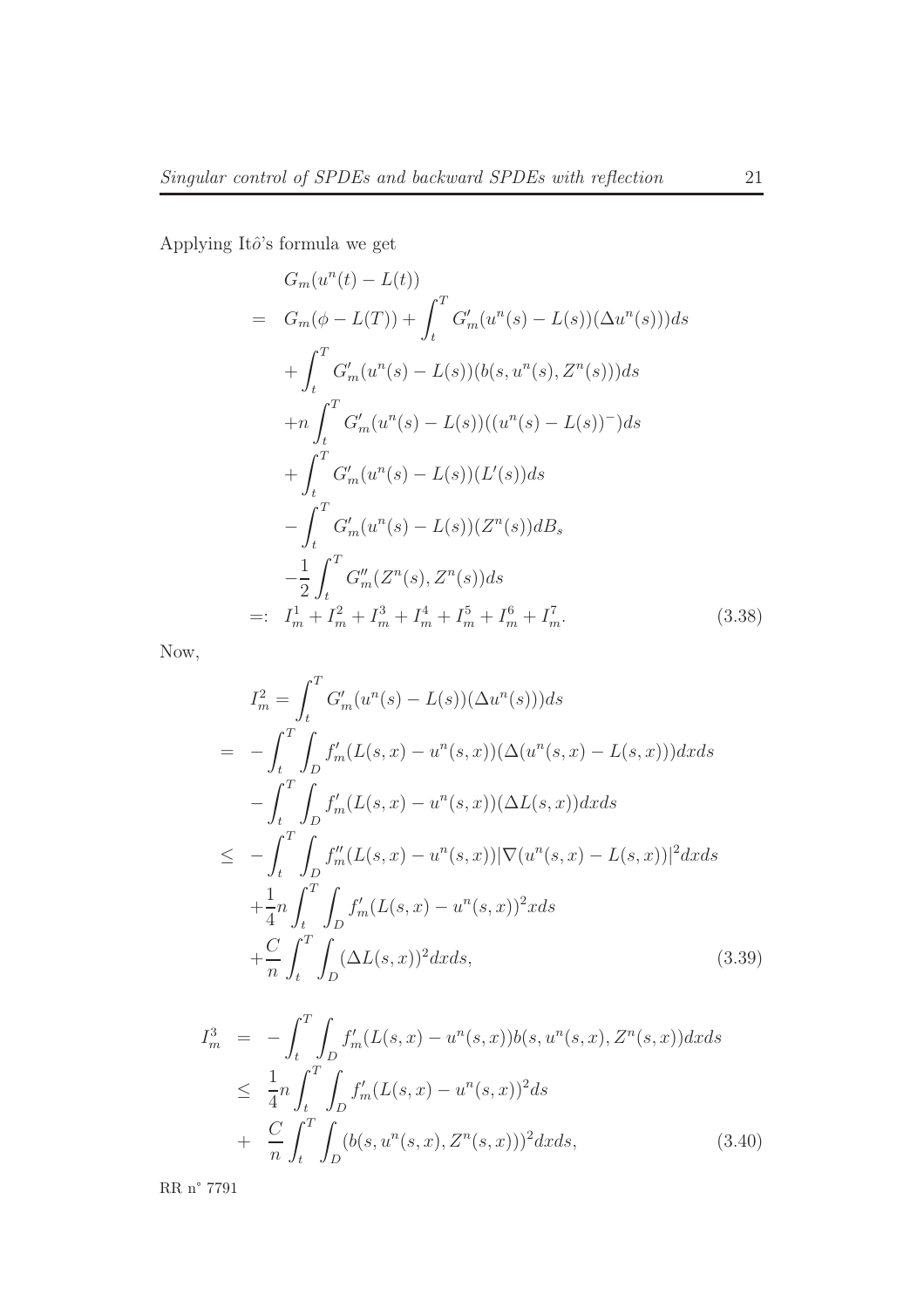<span id="page-23-0"></span>Applying Itô's formula we get

$$
G_m(u^n(t) - L(t))
$$
  
=  $G_m(\phi - L(T)) + \int_t^T G'_m(u^n(s) - L(s))(\Delta u^n(s)))ds$   
+  $\int_t^T G'_m(u^n(s) - L(s))(b(s, u^n(s), Z^n(s)))ds$   
+  $n \int_t^T G'_m(u^n(s) - L(s))((u^n(s) - L(s))^{-})ds$   
+  $\int_t^T G'_m(u^n(s) - L(s))(L'(s))ds$   
-  $\int_t^T G'_m(u^n(s) - L(s))(Z^n(s))dB_s$   
-  $\frac{1}{2} \int_t^T G''_m(Z^n(s), Z^n(s))ds$   
=:  $I_m^1 + I_m^2 + I_m^3 + I_m^4 + I_m^5 + I_m^6 + I_m^7.$  (3.38)

Now,

$$
I_m^2 = \int_t^T G'_m(u^n(s) - L(s))(\Delta u^n(s)))ds
$$
  
= 
$$
- \int_t^T \int_D f'_m(L(s, x) - u^n(s, x))(\Delta (u^n(s, x) - L(s, x)))dx ds
$$
  

$$
- \int_t^T \int_D f'_m(L(s, x) - u^n(s, x))(\Delta L(s, x))dx ds
$$
  

$$
\leq - \int_t^T \int_D f''_m(L(s, x) - u^n(s, x)) |\nabla (u^n(s, x) - L(s, x))|^2 dx ds
$$
  

$$
+ \frac{1}{4} n \int_t^T \int_D f'_m(L(s, x) - u^n(s, x))^2 x ds
$$
  

$$
+ \frac{C}{n} \int_t^T \int_D (\Delta L(s, x))^2 dx ds,
$$
 (3.39)

$$
I_m^3 = -\int_t^T \int_D f'_m(L(s, x) - u^n(s, x))b(s, u^n(s, x), Z^n(s, x))dx ds
$$
  
\n
$$
\leq \frac{1}{4}n \int_t^T \int_D f'_m(L(s, x) - u^n(s, x))^2 ds
$$
  
\n
$$
+ \frac{C}{n} \int_t^T \int_D (b(s, u^n(s, x), Z^n(s, x)))^2 dx ds,
$$
\n(3.40)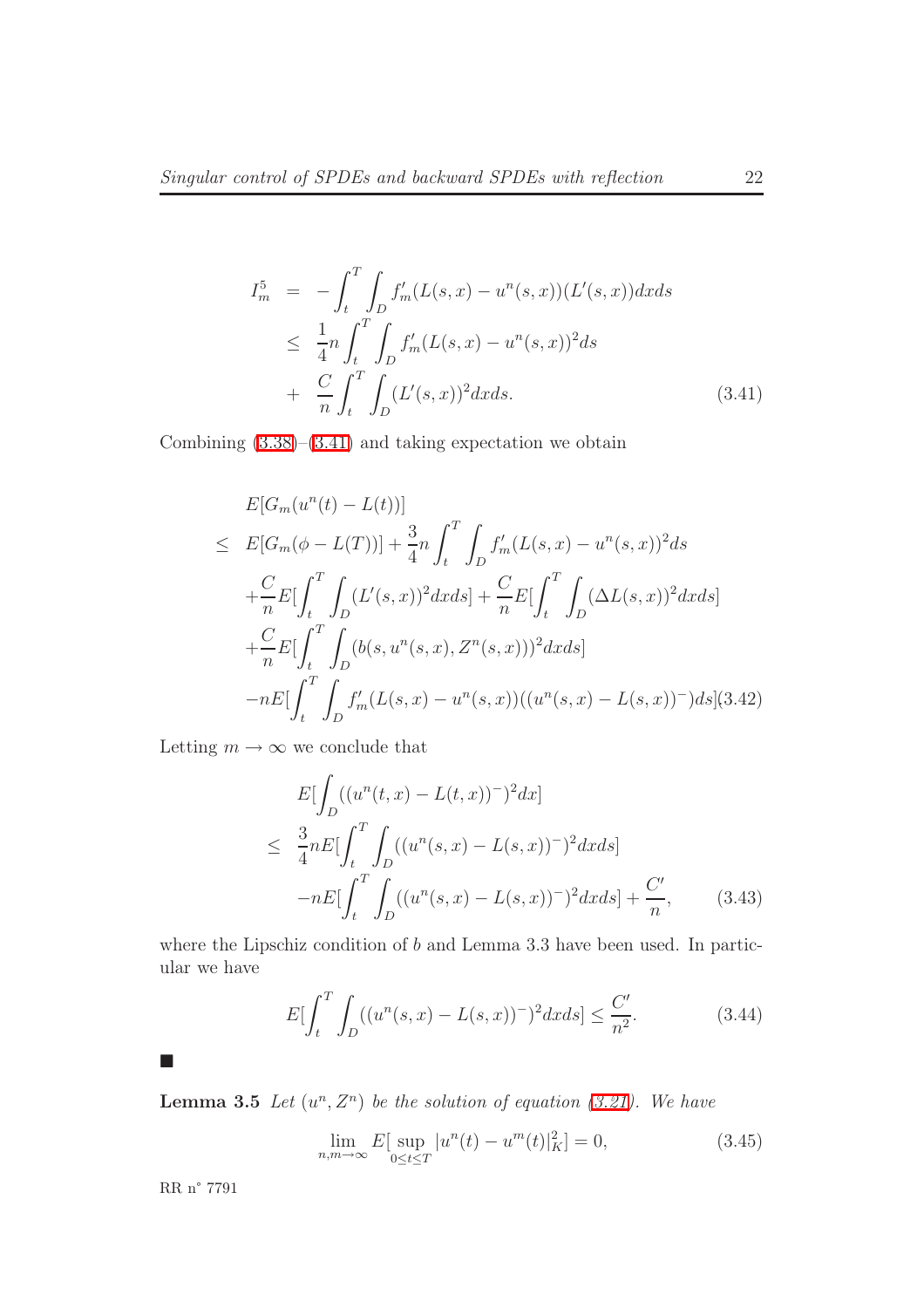<span id="page-24-0"></span>
$$
I_m^5 = -\int_t^T \int_D f'_m(L(s, x) - u^n(s, x))(L'(s, x))dx ds
$$
  
\n
$$
\leq \frac{1}{4}n \int_t^T \int_D f'_m(L(s, x) - u^n(s, x))^2 ds
$$
  
\n
$$
+ \frac{C}{n} \int_t^T \int_D (L'(s, x))^2 dx ds.
$$
\n(3.41)

Combining  $(3.38)$ – $(3.41)$  and taking expectation we obtain

$$
E[G_m(u^n(t) - L(t))]
$$
  
\n
$$
\leq E[G_m(\phi - L(T))] + \frac{3}{4}n \int_t^T \int_D f'_m(L(s, x) - u^n(s, x))^2 ds
$$
  
\n
$$
+ \frac{C}{n} E[\int_t^T \int_D (L'(s, x))^2 dx ds] + \frac{C}{n} E[\int_t^T \int_D (\Delta L(s, x))^2 dx ds]
$$
  
\n
$$
+ \frac{C}{n} E[\int_t^T \int_D (b(s, u^n(s, x), Z^n(s, x)))^2 dx ds]
$$
  
\n
$$
-nE[\int_t^T \int_D f'_m(L(s, x) - u^n(s, x))((u^n(s, x) - L(s, x))^{-}) ds](3.42)
$$

Letting  $m \to \infty$  we conclude that

$$
E[\int_{D} ((u^{n}(t,x) - L(t,x))^{-})^{2} dx]
$$
  
\n
$$
\leq \frac{3}{4} n E[\int_{t}^{T} \int_{D} ((u^{n}(s,x) - L(s,x))^{-})^{2} dx ds]
$$
  
\n
$$
-n E[\int_{t}^{T} \int_{D} ((u^{n}(s,x) - L(s,x))^{-})^{2} dx ds] + \frac{C'}{n}, \qquad (3.43)
$$

where the Lipschiz condition of  $b$  and Lemma 3.3 have been used. In particular we have

$$
E\left[\int_{t}^{T} \int_{D} ((u^{n}(s,x) - L(s,x))^{-})^{2} dx ds\right] \le \frac{C'}{n^{2}}.
$$
 (3.44)

<span id="page-24-1"></span> $\mathcal{L}_{\mathcal{A}}$ 

**Lemma 3.5** Let  $(u^n, Z^n)$  be the solution of equation [\(3.21\)](#page-20-0). We have

$$
\lim_{n,m \to \infty} E[\sup_{0 \le t \le T} |u^n(t) - u^m(t)|_K^2] = 0,
$$
\n(3.45)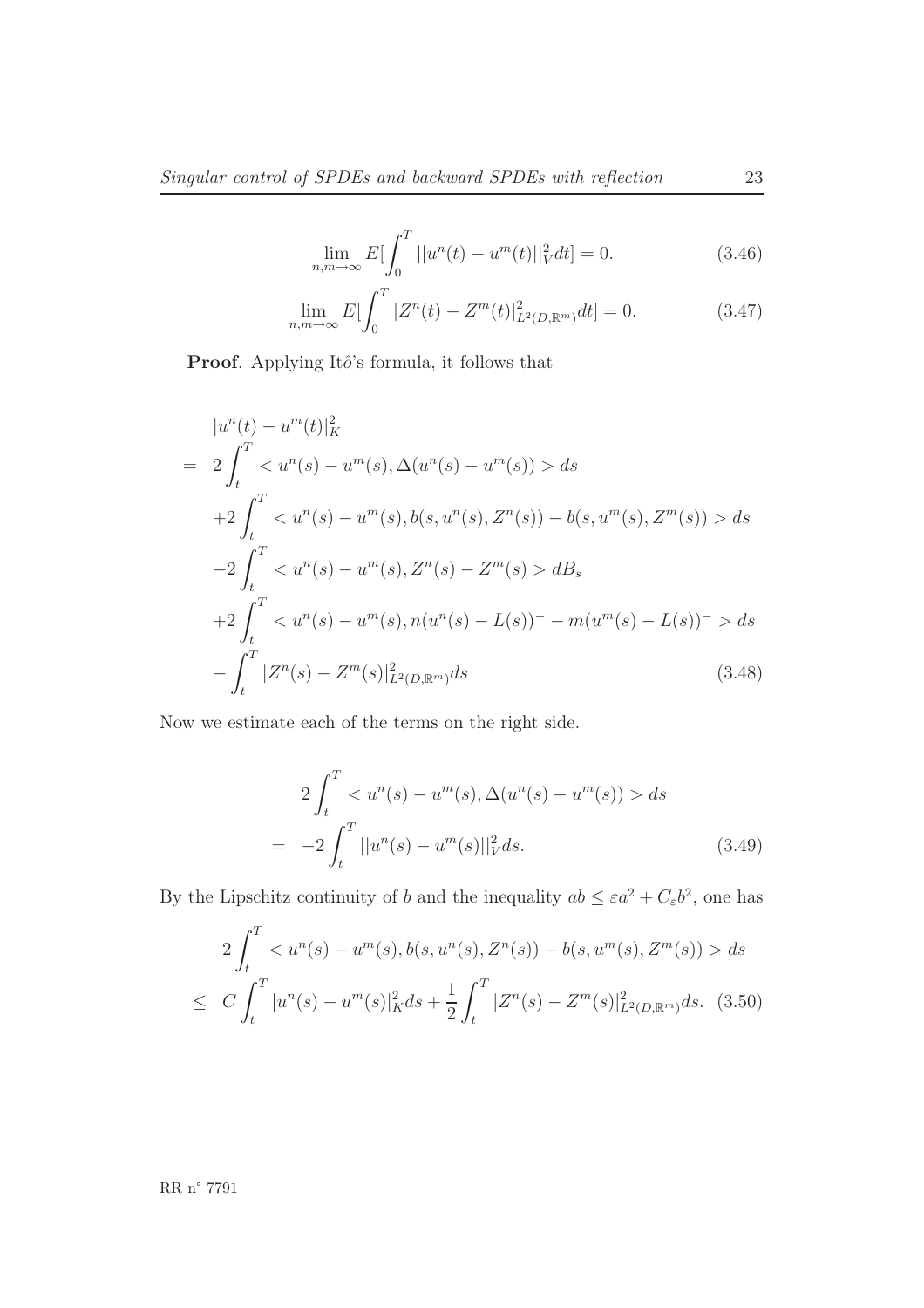$$
\lim_{n,m \to \infty} E \left[ \int_0^T ||u^n(t) - u^m(t)||_V^2 dt \right] = 0.
$$
\n(3.46)

$$
\lim_{n,m \to \infty} E[\int_0^T |Z^n(t) - Z^m(t)|^2_{L^2(D,\mathbb{R}^m)} dt] = 0.
$$
\n(3.47)

Proof. Applying Itô's formula, it follows that

<span id="page-25-0"></span>
$$
|u^n(t) - u^m(t)|_K^2
$$
  
=  $2 \int_t^T < u^n(s) - u^m(s), \Delta(u^n(s) - u^m(s)) > ds$   
+  $2 \int_t^T < u^n(s) - u^m(s), b(s, u^n(s), Z^n(s)) - b(s, u^m(s), Z^m(s)) > ds$   
 $-2 \int_t^T < u^n(s) - u^m(s), Z^n(s) - Z^m(s) > dB_s$   
+  $2 \int_t^T < u^n(s) - u^m(s), n(u^n(s) - L(s)) - m(u^m(s) - L(s)) > ds$   
-  $\int_t^T |Z^n(s) - Z^m(s)|_{L^2(D, \mathbb{R}^m)}^2 ds$  (3.48)

<span id="page-25-1"></span>Now we estimate each of the terms on the right side.

$$
2\int_{t}^{T} < u^{n}(s) - u^{m}(s), \Delta(u^{n}(s) - u^{m}(s)) > ds
$$
  
= -2\int\_{t}^{T} ||u^{n}(s) - u^{m}(s)||\_{V}^{2} ds. (3.49)

By the Lipschitz continuity of b and the inequality  $ab \leq \varepsilon a^2 + C_{\varepsilon} b^2$ , one has

$$
2\int_{t}^{T} < u^{n}(s) - u^{m}(s), b(s, u^{n}(s), Z^{n}(s)) - b(s, u^{m}(s), Z^{m}(s)) > ds
$$
  

$$
\leq C \int_{t}^{T} |u^{n}(s) - u^{m}(s)|_{K}^{2} ds + \frac{1}{2} \int_{t}^{T} |Z^{n}(s) - Z^{m}(s)|_{L^{2}(D, \mathbb{R}^{m})}^{2} ds. (3.50)
$$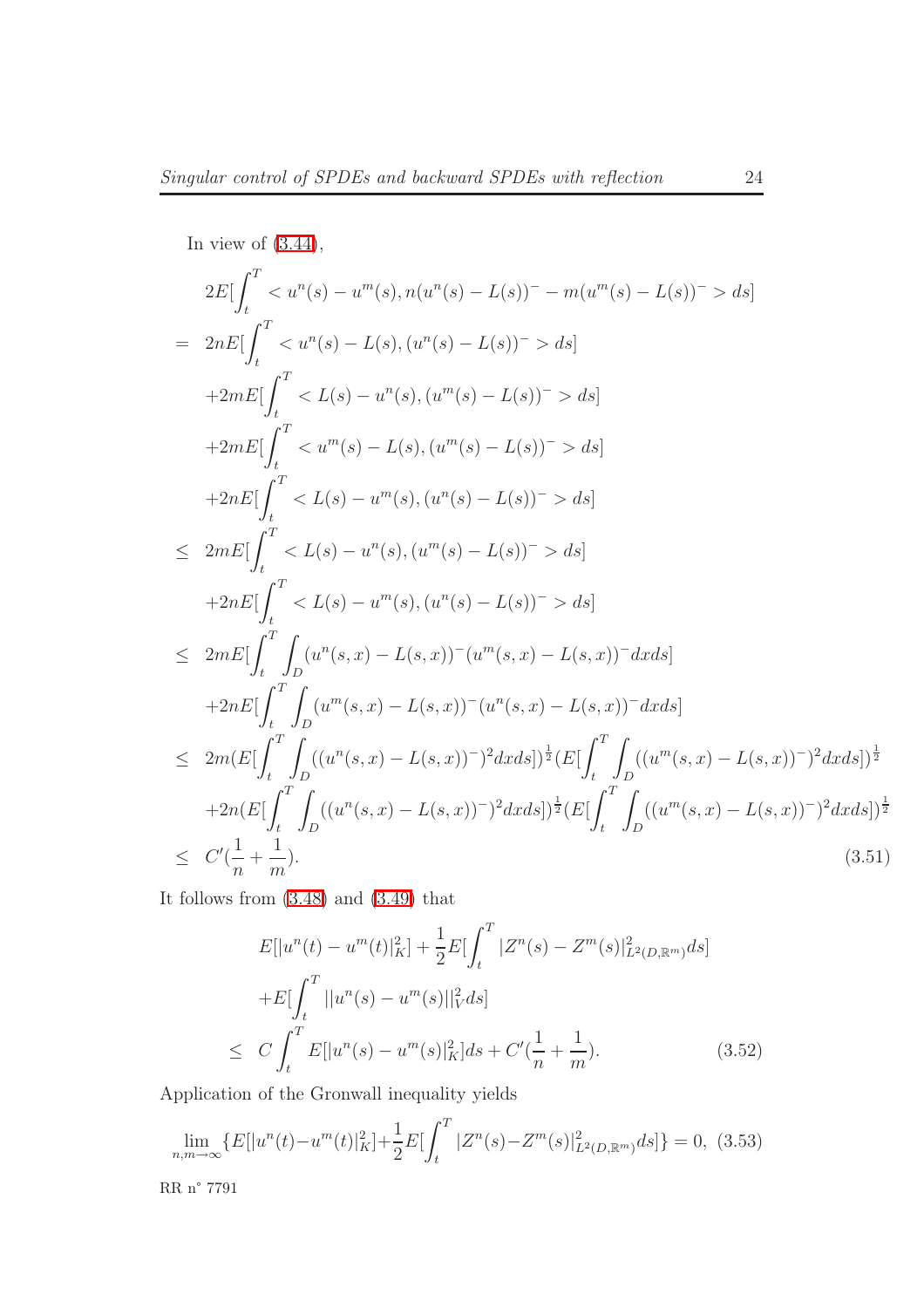In view of (3.44),  
\n
$$
2E\left[\int_{t}^{T} < u^{n}(s) - u^{m}(s), n(u^{n}(s) - L(s))^{-} - m(u^{m}(s) - L(s))^{-} > ds\right]
$$
\n
$$
= 2nE\left[\int_{t}^{T} < u^{n}(s) - L(s), (u^{n}(s) - L(s))^{-} > ds\right]
$$
\n
$$
+2mE\left[\int_{t}^{T} < L(s) - u^{n}(s), (u^{m}(s) - L(s))^{-} > ds\right]
$$
\n
$$
+2mE\left[\int_{t}^{T} < u^{m}(s) - L(s), (u^{m}(s) - L(s))^{-} > ds\right]
$$
\n
$$
+2nE\left[\int_{t}^{T} < L(s) - u^{m}(s), (u^{n}(s) - L(s))^{-} > ds\right]
$$
\n
$$
\leq 2mE\left[\int_{t}^{T} < L(s) - u^{n}(s), (u^{m}(s) - L(s))^{-} > ds\right]
$$
\n
$$
+2nE\left[\int_{t}^{T} < L(s) - u^{m}(s), (u^{n}(s) - L(s))^{-} > ds\right]
$$
\n
$$
\leq 2mE\left[\int_{t}^{T} \int_{D} (u^{n}(s, x) - L(s, x))^{-} (u^{m}(s, x) - L(s, x))^{-} dx ds\right]
$$
\n
$$
+2nE\left[\int_{t}^{T} \int_{D} (u^{m}(s, x) - L(s, x))^{-} (u^{n}(s, x) - L(s, x))^{-} dx ds\right]
$$
\n
$$
\leq 2m(E\left[\int_{t}^{T} \int_{D} ((u^{n}(s, x) - L(s, x))^{-})^{2} dx ds\right])^{\frac{1}{2}} (E\left[\int_{t}^{T} \int_{D} ((u^{m}(s, x) - L(s, x))^{-})^{2} dx ds\right]^{\frac{1}{2}}
$$
\n
$$
+2n(E\left[\int_{t}^{T} \int_{D} ((u^{n}(s, x) - L(s, x))^{-})^{2} dx ds\right]^{\frac{1}{2}} (E\left[\int_{t}^{T} \int_{D} ((u^{m}(s, x) - L(s, x))^{-})^{2} dx ds\right]^{\frac{1}{2}}
$$
\n
$$
\leq C'(\frac{
$$

It follows from [\(3.48\)](#page-25-0) and [\(3.49\)](#page-25-1) that

$$
E[|u^n(t) - u^m(t)|_K^2] + \frac{1}{2}E[\int_t^T |Z^n(s) - Z^m(s)|_{L^2(D,\mathbb{R}^m)}^2 ds]
$$
  
+
$$
E[\int_t^T ||u^n(s) - u^m(s)||_V^2 ds]
$$
  

$$
\leq C \int_t^T E[|u^n(s) - u^m(s)|_K^2] ds + C'(\frac{1}{n} + \frac{1}{m}).
$$
 (3.52)

<span id="page-26-0"></span>Application of the Gronwall inequality yields

$$
\lim_{n,m \to \infty} \{ E[|u^n(t) - u^m(t)|_K^2] + \frac{1}{2} E[ \int_t^T |Z^n(s) - Z^m(s)|_{L^2(D,\mathbb{R}^m)}^2 ds ] \} = 0, (3.53)
$$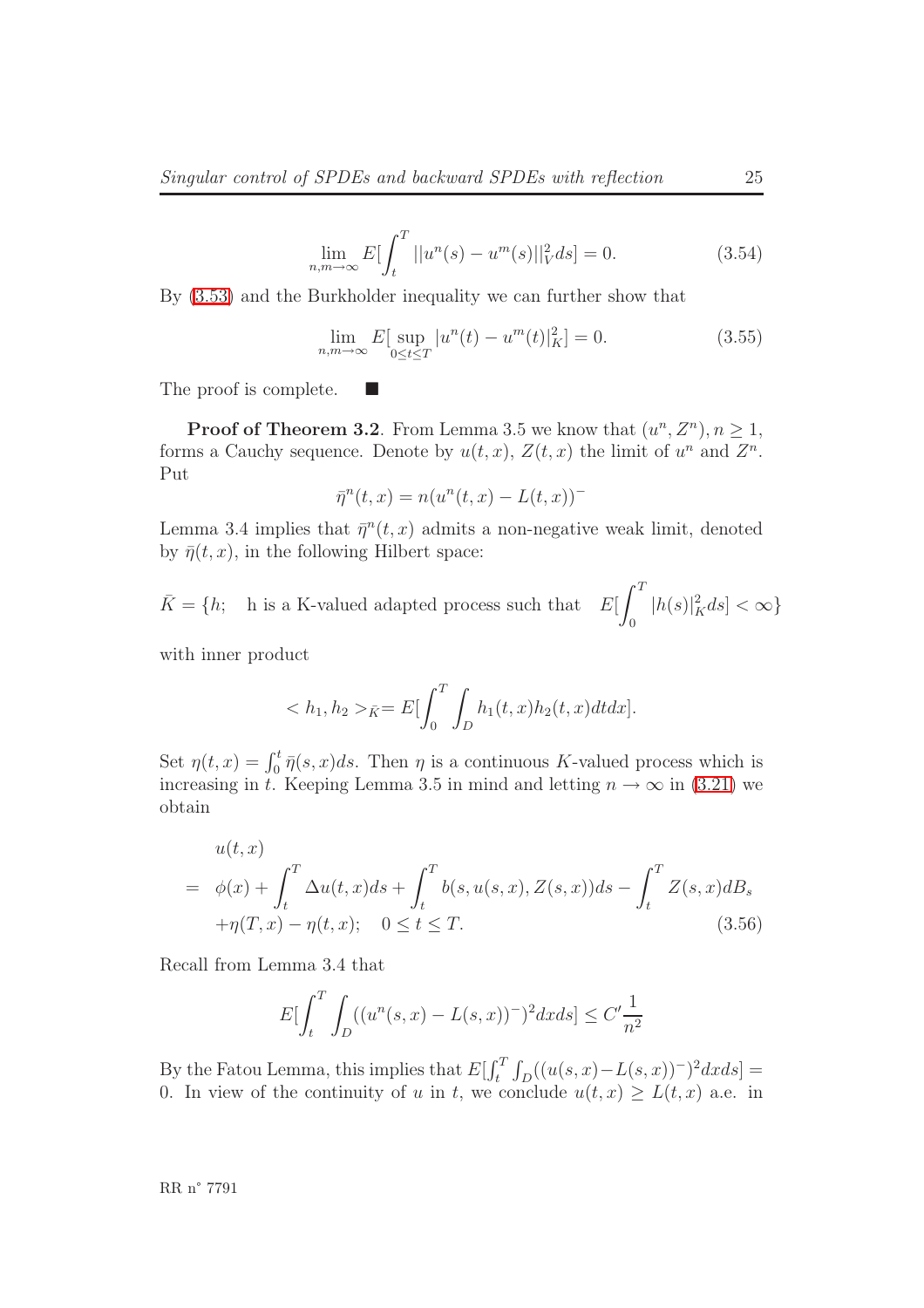$$
\lim_{n,m \to \infty} E[\int_t^T ||u^n(s) - u^m(s)||_V^2 ds] = 0.
$$
\n(3.54)

By [\(3.53\)](#page-26-0) and the Burkholder inequality we can further show that

$$
\lim_{n,m \to \infty} E[\sup_{0 \le t \le T} |u^n(t) - u^m(t)|_K^2] = 0.
$$
\n(3.55)

The proof is complete.

**Proof of Theorem 3.2**. From Lemma 3.5 we know that  $(u^n, Z^n)$ ,  $n \geq 1$ , forms a Cauchy sequence. Denote by  $u(t, x)$ ,  $Z(t, x)$  the limit of  $u^n$  and  $Z^n$ . Put

$$
\bar{\eta}^n(t,x) = n(u^n(t,x) - L(t,x))^-
$$

Lemma 3.4 implies that  $\bar{\eta}^n(t, x)$  admits a non-negative weak limit, denoted by  $\bar{\eta}(t, x)$ , in the following Hilbert space:

 $\bar{K} = \{h;$  h is a K-valued adapted process such that  $E\left[\right]^T$ 0  $|h(s)|^2_K ds] < \infty$ 

with inner product

$$
\langle h_1, h_2 \rangle_{\bar{K}} = E \left[ \int_0^T \int_D h_1(t, x) h_2(t, x) dt dx \right].
$$

Set  $\eta(t,x) = \int_0^t \overline{\eta}(s,x)ds$ . Then  $\eta$  is a continuous K-valued process which is increasing in t. Keeping Lemma 3.5 in mind and letting  $n \to \infty$  in [\(3.21\)](#page-20-0) we obtain

$$
u(t,x)
$$
  
=  $\phi(x) + \int_t^T \Delta u(t,x)ds + \int_t^T b(s, u(s,x), Z(s,x))ds - \int_t^T Z(s,x)dB_s$   
+ $\eta(T,x) - \eta(t,x); \quad 0 \le t \le T.$  (3.56)

Recall from Lemma 3.4 that

$$
E[\int_{t}^{T} \int_{D} ((u^{n}(s,x) - L(s,x))^{-})^{2} dx ds] \le C' \frac{1}{n^{2}}
$$

By the Fatou Lemma, this implies that  $E[\int_t^T \int_D((u(s,x)-L(s,x))^2)^2 dx ds] =$ 0. In view of the continuity of u in t, we conclude  $u(t, x) \geq L(t, x)$  a.e. in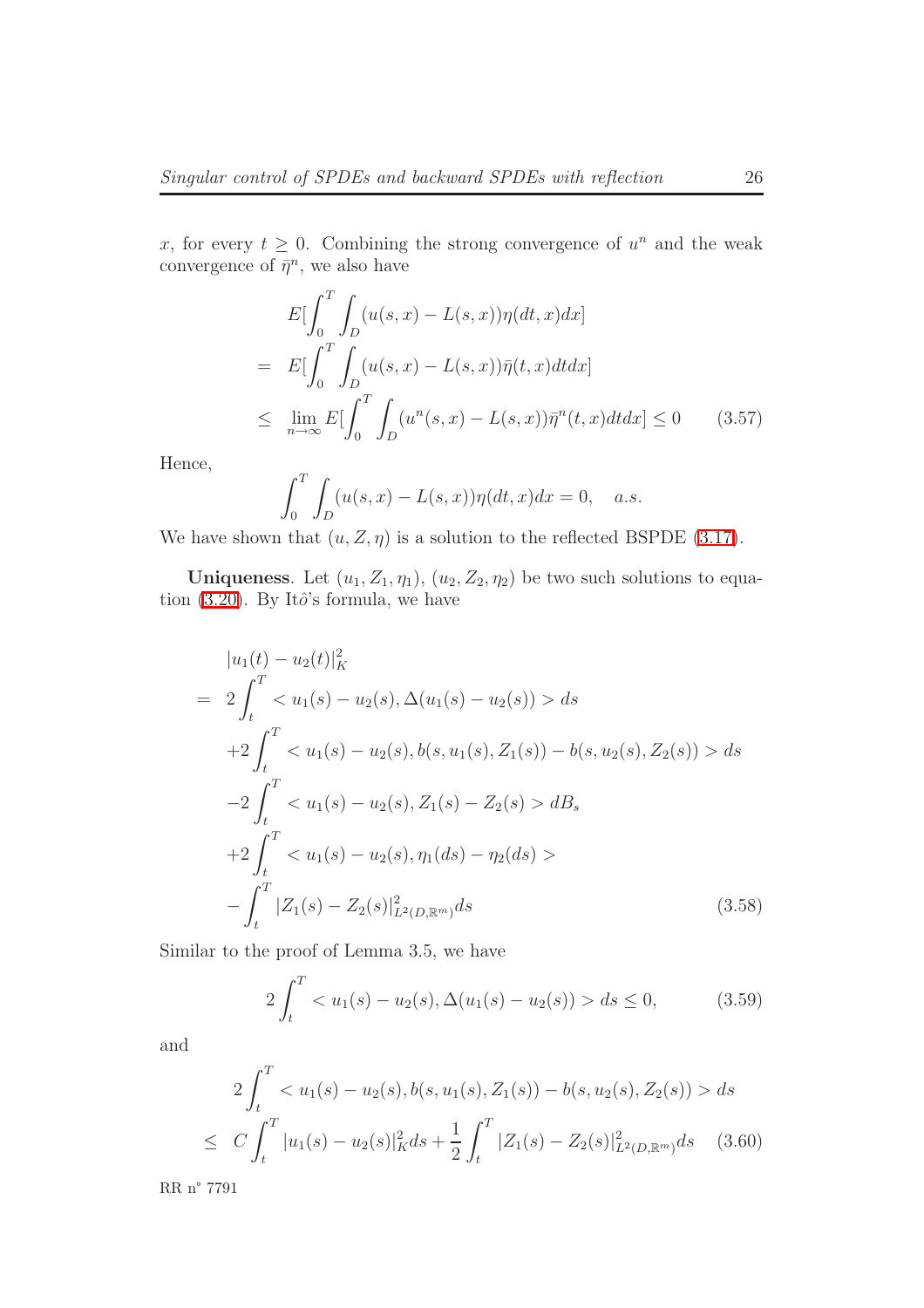x, for every  $t \geq 0$ . Combining the strong convergence of  $u^n$  and the weak convergence of  $\bar{\eta}^n$ , we also have

$$
E\left[\int_0^T \int_D (u(s,x) - L(s,x))\eta(dt,x)dx\right]
$$
  
= 
$$
E\left[\int_0^T \int_D (u(s,x) - L(s,x))\bar{\eta}(t,x)dt dx\right]
$$
  

$$
\leq \lim_{n \to \infty} E\left[\int_0^T \int_D (u^n(s,x) - L(s,x))\bar{\eta}^n(t,x)dt dx\right] \leq 0 \qquad (3.57)
$$

Hence,

$$
\int_0^T \int_D (u(s,x) - L(s,x)) \eta(dt,x) dx = 0, \quad a.s.
$$

We have shown that  $(u, Z, \eta)$  is a solution to the reflected BSPDE [\(3.17\)](#page-19-1).

<span id="page-28-0"></span>Uniqueness. Let  $(u_1, Z_1, \eta_1), (u_2, Z_2, \eta_2)$  be two such solutions to equa-tion [\(3.20\)](#page-19-0). By Itô's formula, we have

$$
|u_1(t) - u_2(t)|_K^2
$$
  
=  $2 \int_t^T \langle u_1(s) - u_2(s), \Delta(u_1(s) - u_2(s)) \rangle ds$   
+  $2 \int_t^T \langle u_1(s) - u_2(s), b(s, u_1(s), Z_1(s)) - b(s, u_2(s), Z_2(s)) \rangle ds$   
-  $2 \int_t^T \langle u_1(s) - u_2(s), Z_1(s) - Z_2(s) \rangle dB_s$   
+  $2 \int_t^T \langle u_1(s) - u_2(s), \eta_1(ds) - \eta_2(ds) \rangle$   
-  $\int_t^T |Z_1(s) - Z_2(s)|_{L^2(D, \mathbb{R}^m)}^2 ds$  (3.58)

Similar to the proof of Lemma 3.5, we have

$$
2\int_{t}^{T} < u_{1}(s) - u_{2}(s), \Delta(u_{1}(s) - u_{2}(s)) > ds \le 0,
$$
\n(3.59)

and

$$
2\int_{t}^{T} < u_{1}(s) - u_{2}(s), b(s, u_{1}(s), Z_{1}(s)) - b(s, u_{2}(s), Z_{2}(s)) > ds
$$
  

$$
\leq C \int_{t}^{T} |u_{1}(s) - u_{2}(s)|_{K}^{2} ds + \frac{1}{2} \int_{t}^{T} |Z_{1}(s) - Z_{2}(s)|_{L^{2}(D, \mathbb{R}^{m})}^{2} ds \quad (3.60)
$$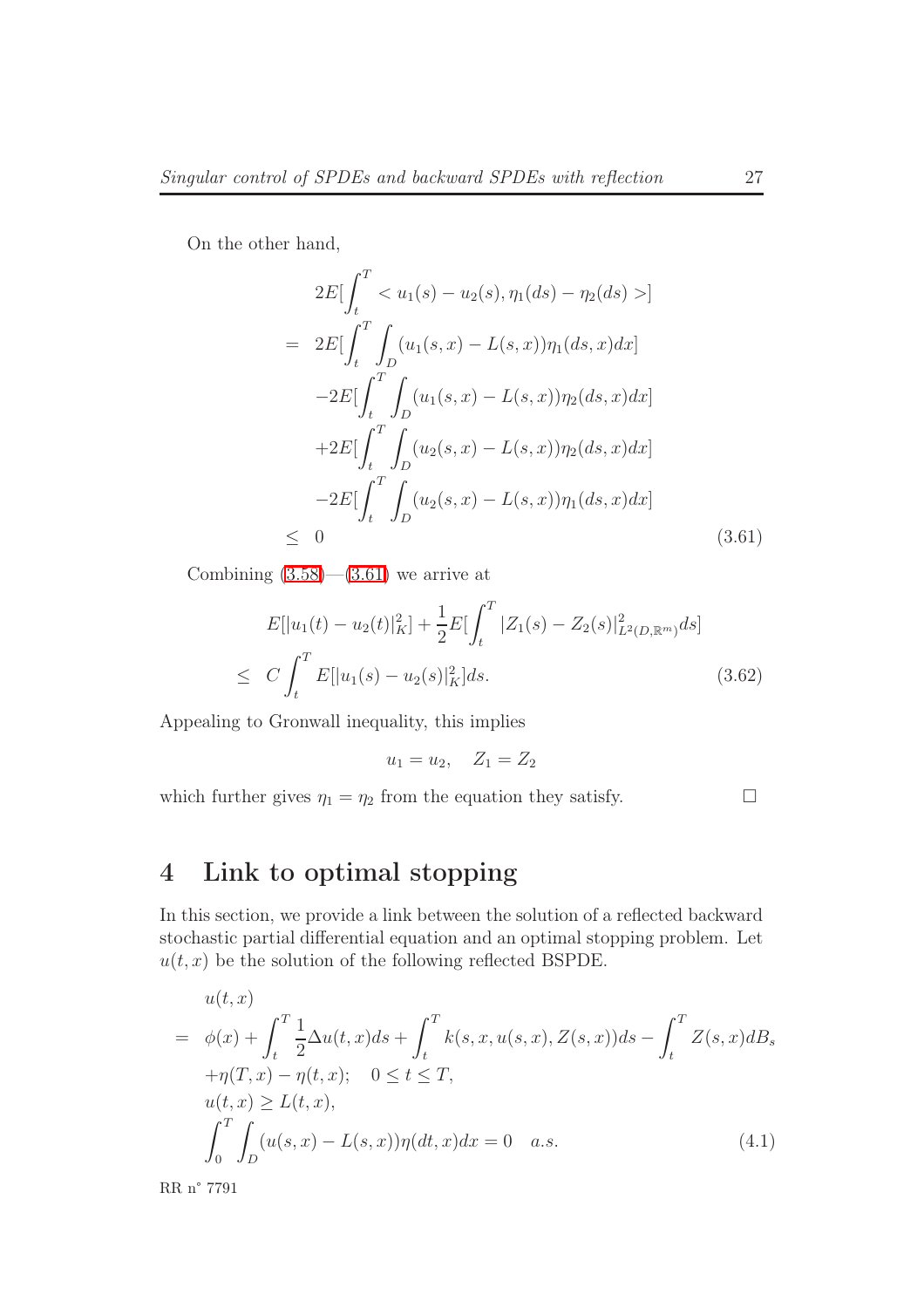<span id="page-29-0"></span>On the other hand,

$$
2E[\int_{t}^{T} < u_{1}(s) - u_{2}(s), \eta_{1}(ds) - \eta_{2}(ds) >]
$$
  
= 
$$
2E[\int_{t}^{T} \int_{D} (u_{1}(s,x) - L(s,x))\eta_{1}(ds,x)dx]
$$
  

$$
-2E[\int_{t}^{T} \int_{D} (u_{1}(s,x) - L(s,x))\eta_{2}(ds,x)dx]
$$
  
+
$$
2E[\int_{t}^{T} \int_{D} (u_{2}(s,x) - L(s,x))\eta_{2}(ds,x)dx]
$$
  

$$
-2E[\int_{t}^{T} \int_{D} (u_{2}(s,x) - L(s,x))\eta_{1}(ds,x)dx]
$$
  

$$
\leq 0
$$
 (3.61)

Combining  $(3.58)$ — $(3.61)$  we arrive at

$$
E[|u_1(t) - u_2(t)|_K^2] + \frac{1}{2} E[\int_t^T |Z_1(s) - Z_2(s)|_{L^2(D,\mathbb{R}^m)}^2 ds]
$$
  
\n
$$
\leq C \int_t^T E[|u_1(s) - u_2(s)|_K^2] ds.
$$
\n(3.62)

Appealing to Gronwall inequality, this implies

$$
u_1 = u_2, \quad Z_1 = Z_2
$$

which further gives  $\eta_1 = \eta_2$  from the equation they satisfy.

## 4 Link to optimal stopping

In this section, we provide a link between the solution of a reflected backward stochastic partial differential equation and an optimal stopping problem. Let  $u(t, x)$  be the solution of the following reflected BSPDE.

$$
u(t, x) = \phi(x) + \int_{t}^{T} \frac{1}{2} \Delta u(t, x) ds + \int_{t}^{T} k(s, x, u(s, x), Z(s, x)) ds - \int_{t}^{T} Z(s, x) dB_{s}
$$

$$
+ \eta(T, x) - \eta(t, x); \quad 0 \le t \le T,
$$

$$
u(t, x) \ge L(t, x),
$$

$$
\int_{0}^{T} \int_{D} (u(s, x) - L(s, x)) \eta(dt, x) dx = 0 \quad a.s.
$$
(4.1)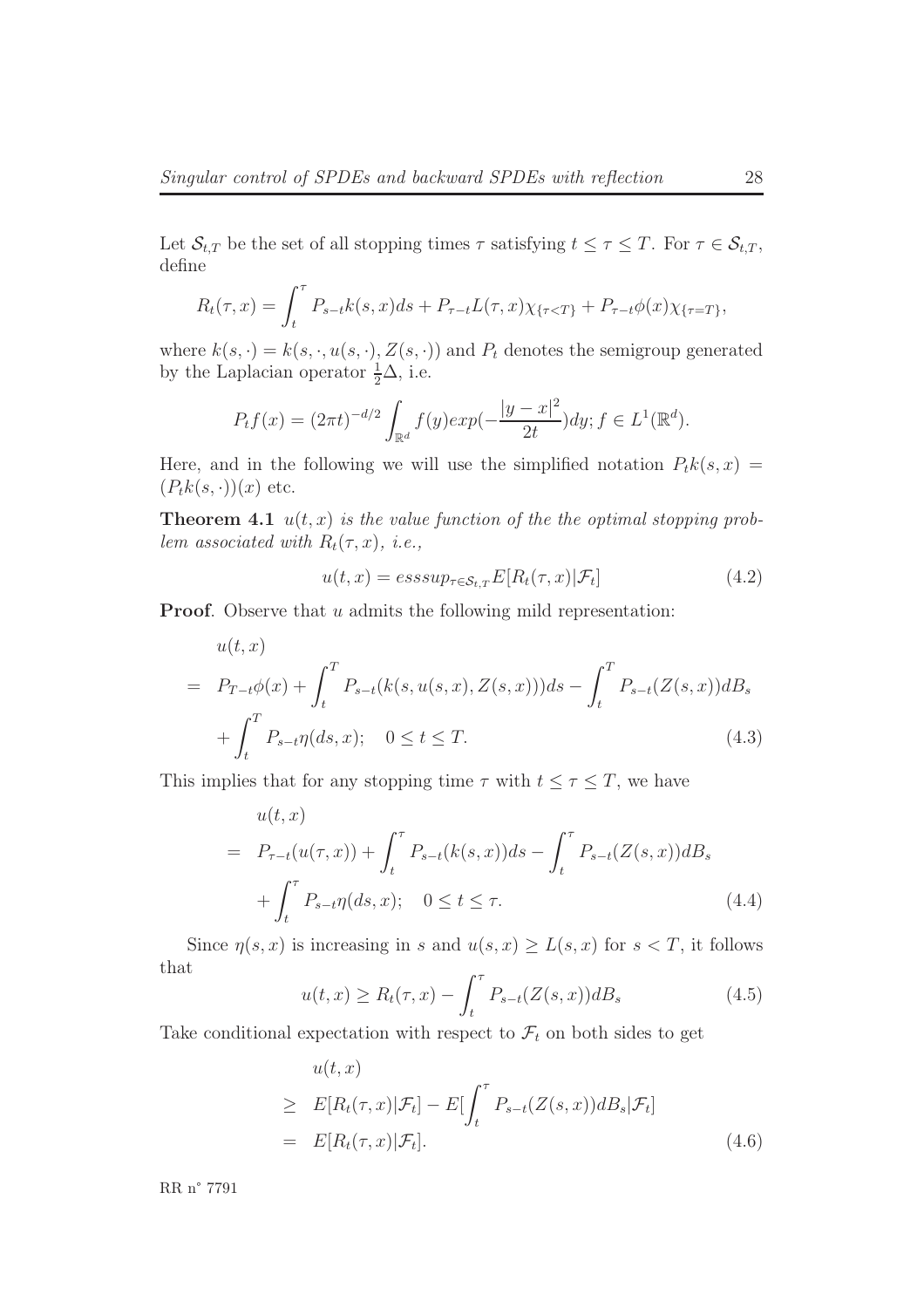Let  $\mathcal{S}_{t,T}$  be the set of all stopping times  $\tau$  satisfying  $t \leq \tau \leq T$ . For  $\tau \in \mathcal{S}_{t,T}$ , define

$$
R_t(\tau, x) = \int_t^{\tau} P_{s-t}k(s, x)ds + P_{\tau-t}L(\tau, x)\chi_{\{\tau < T\}} + P_{\tau-t}\phi(x)\chi_{\{\tau = T\}},
$$

where  $k(s, \cdot) = k(s, \cdot, u(s, \cdot), Z(s, \cdot))$  and  $P_t$  denotes the semigroup generated by the Laplacian operator  $\frac{1}{2}\Delta$ , i.e.

$$
P_t f(x) = (2\pi t)^{-d/2} \int_{\mathbb{R}^d} f(y) exp(-\frac{|y-x|^2}{2t}) dy; f \in L^1(\mathbb{R}^d).
$$

Here, and in the following we will use the simplified notation  $P_t k(s, x) =$  $(P_t k(s, \cdot))(x)$  etc.

**Theorem 4.1**  $u(t, x)$  is the value function of the the optimal stopping problem associated with  $R_t(\tau, x)$ , i.e.,

$$
u(t,x) = \operatorname{esssup}_{\tau \in \mathcal{S}_{t,T}} E[R_t(\tau,x)|\mathcal{F}_t]
$$
\n(4.2)

Proof. Observe that u admits the following mild representation:

$$
u(t,x) = P_{T-t}\phi(x) + \int_t^T P_{s-t}(k(s, u(s, x), Z(s, x)))ds - \int_t^T P_{s-t}(Z(s, x))dB_s
$$
  
+ 
$$
\int_t^T P_{s-t}\eta(ds, x); \quad 0 \le t \le T.
$$
 (4.3)

<span id="page-30-0"></span>This implies that for any stopping time  $\tau$  with  $t \leq \tau \leq T$ , we have

$$
u(t, x) = P_{\tau - t}(u(\tau, x)) + \int_t^{\tau} P_{s-t}(k(s, x))ds - \int_t^{\tau} P_{s-t}(Z(s, x))dB_s
$$
  
+ 
$$
\int_t^{\tau} P_{s-t} \eta(ds, x); \quad 0 \le t \le \tau.
$$
 (4.4)

Since  $\eta(s, x)$  is increasing in s and  $u(s, x) \ge L(s, x)$  for  $s < T$ , it follows that

$$
u(t,x) \ge R_t(\tau, x) - \int_t^{\tau} P_{s-t}(Z(s, x)) dB_s
$$
\n(4.5)

Take conditional expectation with respect to  $\mathcal{F}_t$  on both sides to get

$$
u(t, x)
$$
  
\n
$$
\geq E[R_t(\tau, x)|\mathcal{F}_t] - E[\int_t^{\tau} P_{s-t}(Z(s, x))dB_s|\mathcal{F}_t]
$$
  
\n
$$
= E[R_t(\tau, x)|\mathcal{F}_t].
$$
\n(4.6)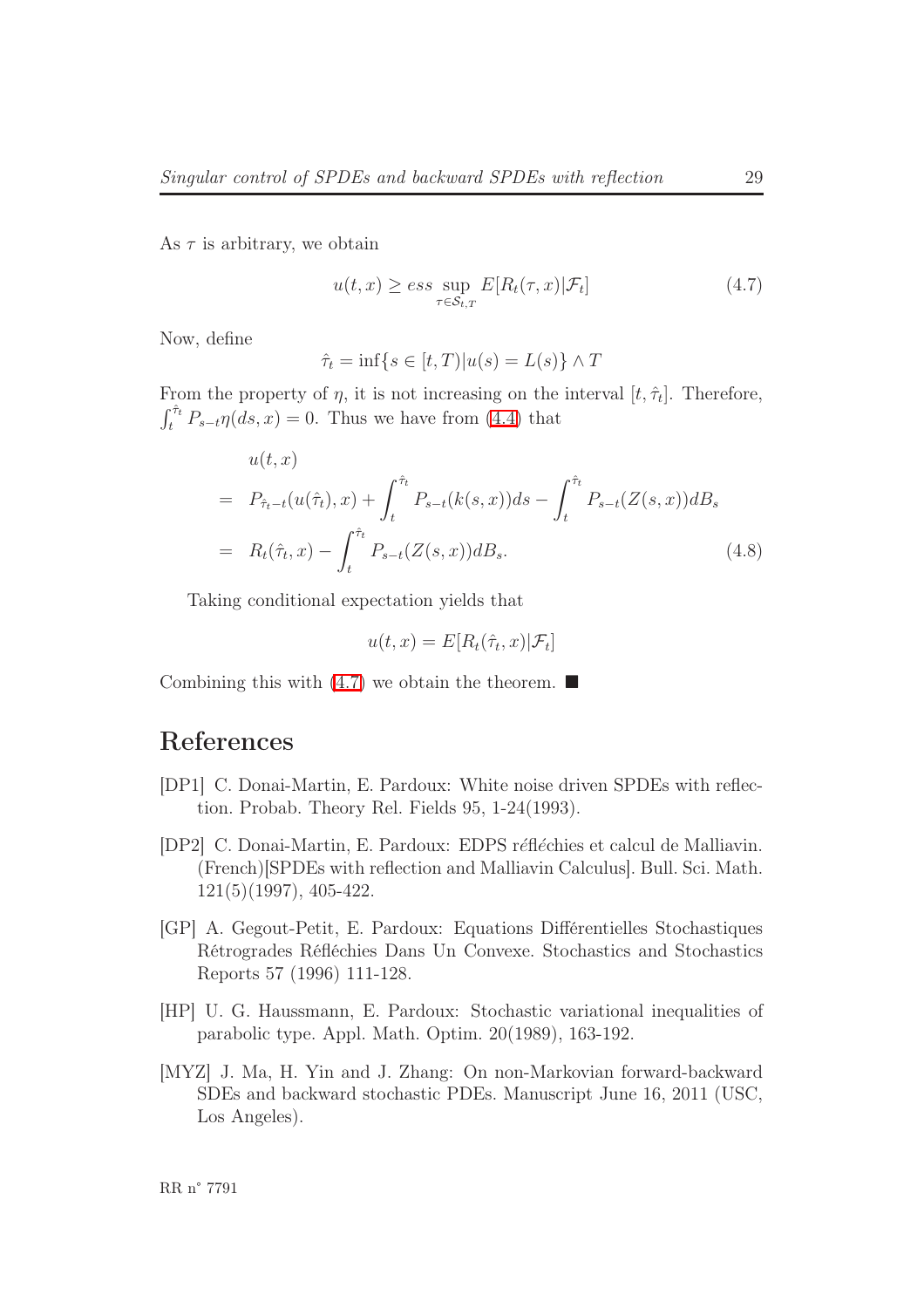<span id="page-31-1"></span>As  $\tau$  is arbitrary, we obtain

$$
u(t,x) \ge \underset{\tau \in \mathcal{S}_{t,T}}{\text{exp}} E[R_t(\tau,x)|\mathcal{F}_t] \tag{4.7}
$$

Now, define

$$
\hat{\tau}_t = \inf\{s \in [t, T)|u(s) = L(s)\} \wedge T
$$

From the property of  $\eta$ , it is not increasing on the interval  $[t, \hat{\tau}_t]$ . Therefore,  $\int_t^{\hat{\tau}_t} P_{s-t} \eta(ds, x) = 0$ . Thus we have from [\(4.4\)](#page-30-0) that

$$
u(t, x) = P_{\hat{\tau}_{t-1}}(u(\hat{\tau}_t), x) + \int_t^{\hat{\tau}_t} P_{s-t}(k(s, x)) ds - \int_t^{\hat{\tau}_t} P_{s-t}(Z(s, x)) dB_s
$$
  
=  $R_t(\hat{\tau}_t, x) - \int_t^{\hat{\tau}_t} P_{s-t}(Z(s, x)) dB_s.$  (4.8)

Taking conditional expectation yields that

$$
u(t, x) = E[R_t(\hat{\tau}_t, x)|\mathcal{F}_t]
$$

Combining this with  $(4.7)$  we obtain the theorem.

### References

- <span id="page-31-0"></span>[DP1] C. Donai-Martin, E. Pardoux: White noise driven SPDEs with reflection. Probab. Theory Rel. Fields 95, 1-24(1993).
- [DP2] C. Donai-Martin, E. Pardoux: EDPS réfléchies et calcul de Malliavin. (French)[SPDEs with reflection and Malliavin Calculus]. Bull. Sci. Math. 121(5)(1997), 405-422.
- [GP] A. Gegout-Petit, E. Pardoux: Equations Différentielles Stochastiques Rétrogrades Réfléchies Dans Un Convexe. Stochastics and Stochastics Reports 57 (1996) 111-128.
- [HP] U. G. Haussmann, E. Pardoux: Stochastic variational inequalities of parabolic type. Appl. Math. Optim. 20(1989), 163-192.
- [MYZ] J. Ma, H. Yin and J. Zhang: On non-Markovian forward-backward SDEs and backward stochastic PDEs. Manuscript June 16, 2011 (USC, Los Angeles).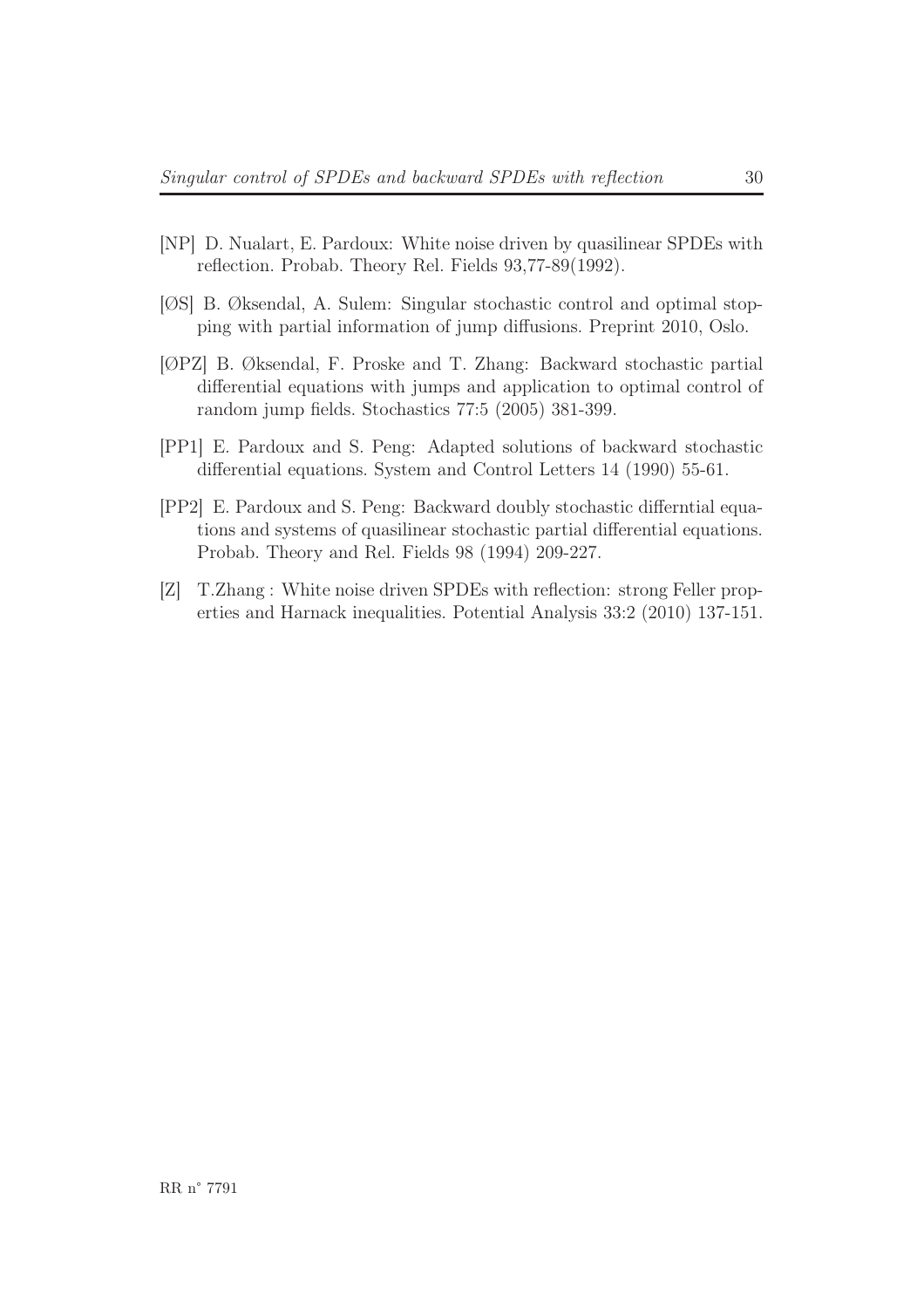- [NP] D. Nualart, E. Pardoux: White noise driven by quasilinear SPDEs with reflection. Probab. Theory Rel. Fields 93,77-89(1992).
- [ØS] B. Øksendal, A. Sulem: Singular stochastic control and optimal stopping with partial information of jump diffusions. Preprint 2010, Oslo.
- <span id="page-32-0"></span>[ØPZ] B. Øksendal, F. Proske and T. Zhang: Backward stochastic partial differential equations with jumps and application to optimal control of random jump fields. Stochastics 77:5 (2005) 381-399.
- [PP1] E. Pardoux and S. Peng: Adapted solutions of backward stochastic differential equations. System and Control Letters 14 (1990) 55-61.
- [PP2] E. Pardoux and S. Peng: Backward doubly stochastic differntial equations and systems of quasilinear stochastic partial differential equations. Probab. Theory and Rel. Fields 98 (1994) 209-227.
- [Z] T.Zhang : White noise driven SPDEs with reflection: strong Feller properties and Harnack inequalities. Potential Analysis 33:2 (2010) 137-151.